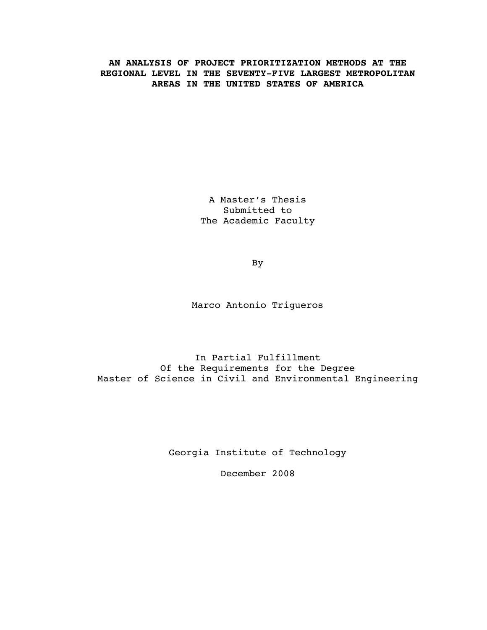### **AN ANALYSIS OF PROJECT PRIORITIZATION METHODS AT THE REGIONAL LEVEL IN THE SEVENTY-FIVE LARGEST METROPOLITAN AREAS IN THE UNITED STATES OF AMERICA**

A Master's Thesis Submitted to The Academic Faculty

By

Marco Antonio Trigueros

In Partial Fulfillment Of the Requirements for the Degree Master of Science in Civil and Environmental Engineering

Georgia Institute of Technology

December 2008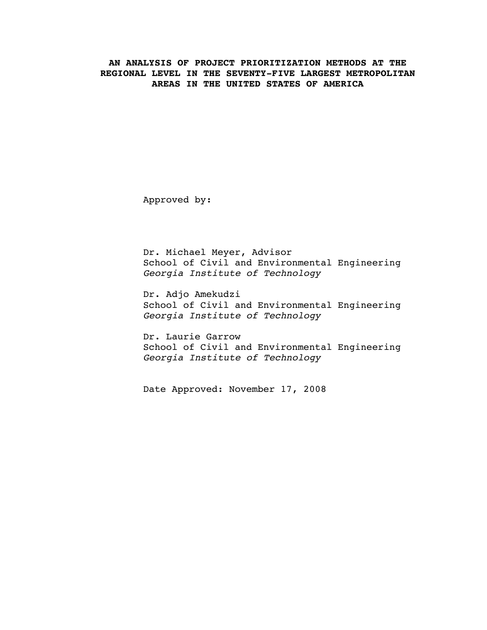### **AN ANALYSIS OF PROJECT PRIORITIZATION METHODS AT THE REGIONAL LEVEL IN THE SEVENTY-FIVE LARGEST METROPOLITAN AREAS IN THE UNITED STATES OF AMERICA**

Approved by:

Dr. Michael Meyer, Advisor School of Civil and Environmental Engineering *Georgia Institute of Technology*

Dr. Adjo Amekudzi School of Civil and Environmental Engineering *Georgia Institute of Technology*

Dr. Laurie Garrow School of Civil and Environmental Engineering *Georgia Institute of Technology*

Date Approved: November 17, 2008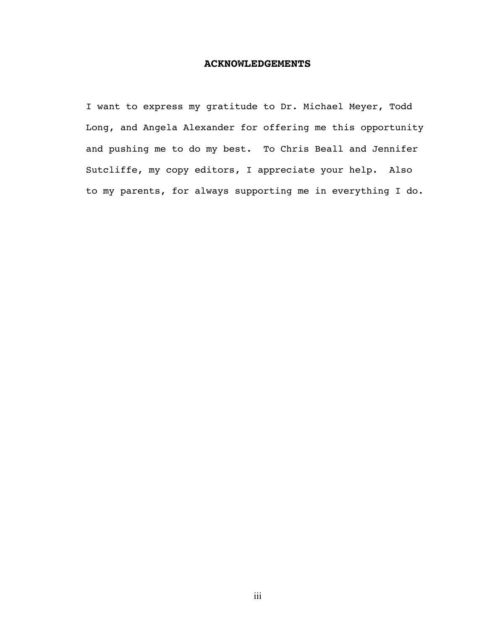### **ACKNOWLEDGEMENTS**

I want to express my gratitude to Dr. Michael Meyer, Todd Long, and Angela Alexander for offering me this opportunity and pushing me to do my best. To Chris Beall and Jennifer Sutcliffe, my copy editors, I appreciate your help. Also to my parents, for always supporting me in everything I do.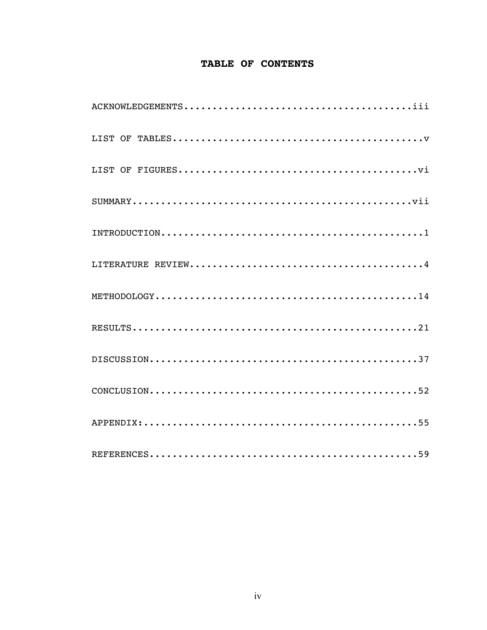## TABLE OF CONTENTS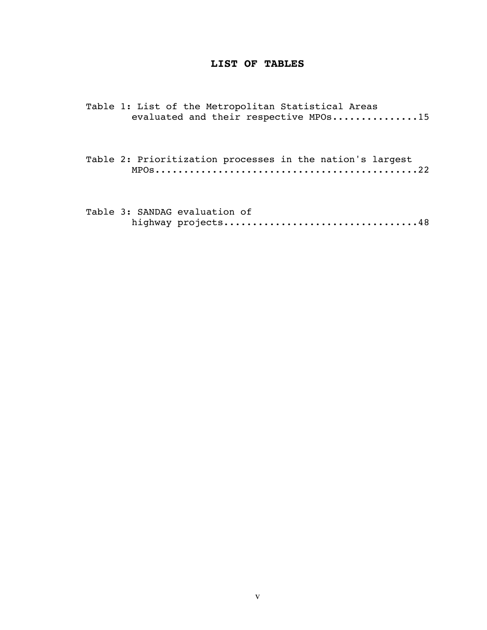### **LIST OF TABLES**

Table 1: List of the Metropolitan Statistical Areas evaluated and their respective MPOs...............15

Table 2: Prioritization processes in the nation's largest MPOs..............................................22

Table 3: SANDAG evaluation of highway projects..................................48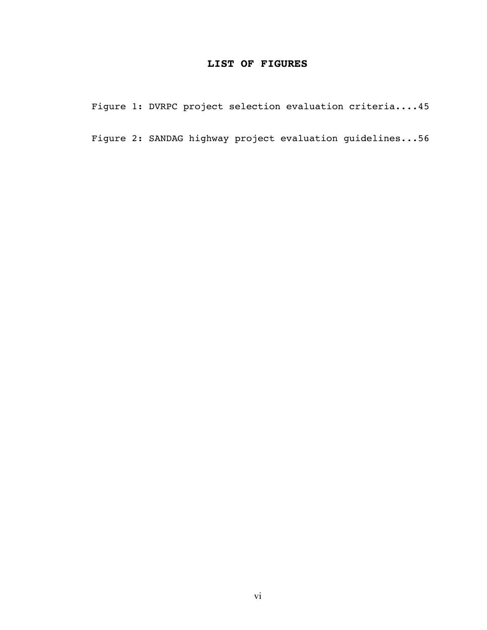### **LIST OF FIGURES**

Figure 1: DVRPC project selection evaluation criteria....45

Figure 2: SANDAG highway project evaluation guidelines...56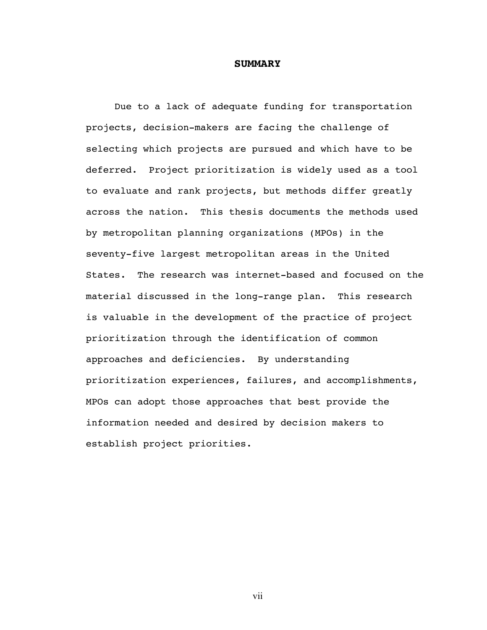#### **SUMMARY**

Due to a lack of adequate funding for transportation projects, decision-makers are facing the challenge of selecting which projects are pursued and which have to be deferred. Project prioritization is widely used as a tool to evaluate and rank projects, but methods differ greatly across the nation. This thesis documents the methods used by metropolitan planning organizations (MPOs) in the seventy-five largest metropolitan areas in the United States. The research was internet-based and focused on the material discussed in the long-range plan. This research is valuable in the development of the practice of project prioritization through the identification of common approaches and deficiencies. By understanding prioritization experiences, failures, and accomplishments, MPOs can adopt those approaches that best provide the information needed and desired by decision makers to establish project priorities.

vii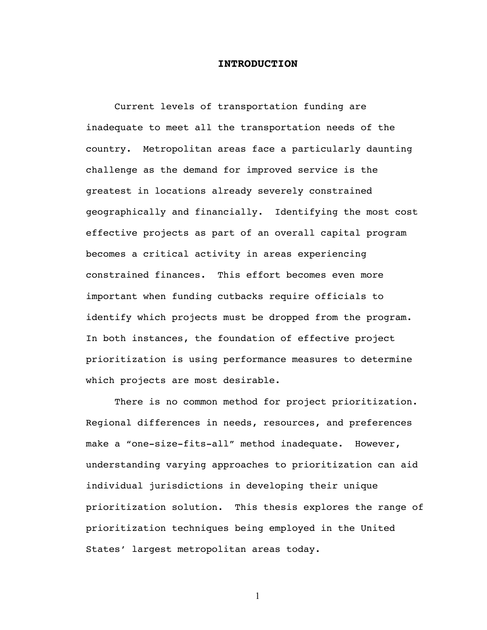### **INTRODUCTION**

Current levels of transportation funding are inadequate to meet all the transportation needs of the country. Metropolitan areas face a particularly daunting challenge as the demand for improved service is the greatest in locations already severely constrained geographically and financially. Identifying the most cost effective projects as part of an overall capital program becomes a critical activity in areas experiencing constrained finances. This effort becomes even more important when funding cutbacks require officials to identify which projects must be dropped from the program. In both instances, the foundation of effective project prioritization is using performance measures to determine which projects are most desirable.

There is no common method for project prioritization. Regional differences in needs, resources, and preferences make a "one-size-fits-all" method inadequate. However, understanding varying approaches to prioritization can aid individual jurisdictions in developing their unique prioritization solution. This thesis explores the range of prioritization techniques being employed in the United States' largest metropolitan areas today.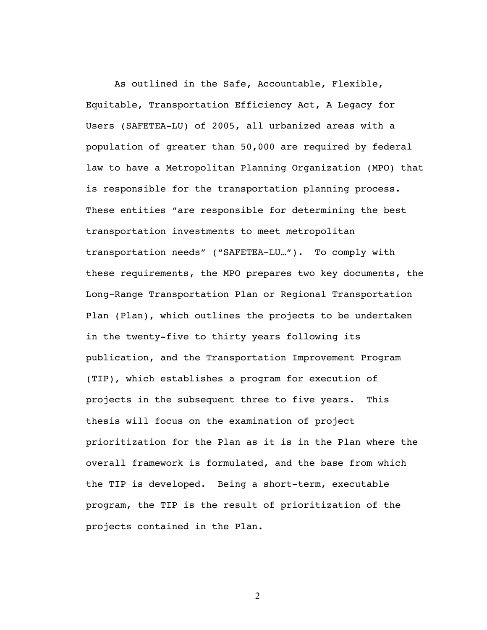As outlined in the Safe, Accountable, Flexible, Equitable, Transportation Efficiency Act, A Legacy for Users (SAFETEA-LU) of 2005, all urbanized areas with a population of greater than 50,000 are required by federal law to have a Metropolitan Planning Organization (MPO) that is responsible for the transportation planning process. These entities "are responsible for determining the best transportation investments to meet metropolitan transportation needs" ("SAFETEA-LU…"). To comply with these requirements, the MPO prepares two key documents, the Long-Range Transportation Plan or Regional Transportation Plan (Plan), which outlines the projects to be undertaken in the twenty-five to thirty years following its publication, and the Transportation Improvement Program (TIP), which establishes a program for execution of projects in the subsequent three to five years. This thesis will focus on the examination of project prioritization for the Plan as it is in the Plan where the overall framework is formulated, and the base from which the TIP is developed. Being a short-term, executable program, the TIP is the result of prioritization of the projects contained in the Plan.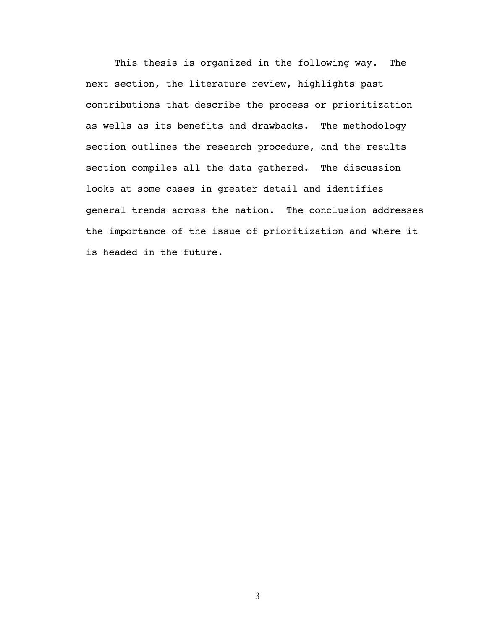This thesis is organized in the following way. The next section, the literature review, highlights past contributions that describe the process or prioritization as wells as its benefits and drawbacks. The methodology section outlines the research procedure, and the results section compiles all the data gathered. The discussion looks at some cases in greater detail and identifies general trends across the nation. The conclusion addresses the importance of the issue of prioritization and where it is headed in the future.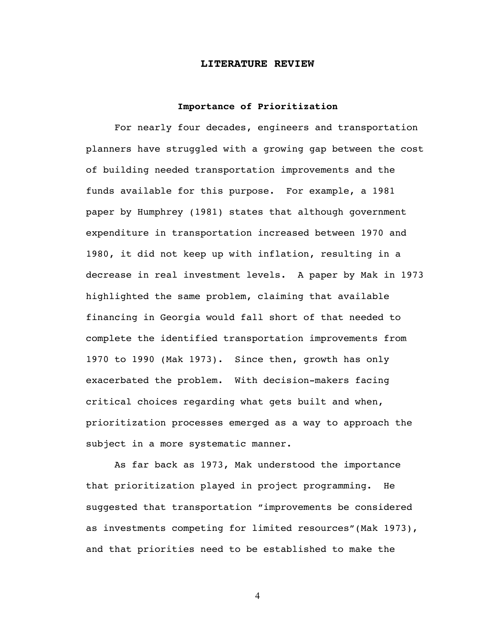#### **LITERATURE REVIEW**

### **Importance of Prioritization**

For nearly four decades, engineers and transportation planners have struggled with a growing gap between the cost of building needed transportation improvements and the funds available for this purpose. For example, a 1981 paper by Humphrey (1981) states that although government expenditure in transportation increased between 1970 and 1980, it did not keep up with inflation, resulting in a decrease in real investment levels. A paper by Mak in 1973 highlighted the same problem, claiming that available financing in Georgia would fall short of that needed to complete the identified transportation improvements from 1970 to 1990 (Mak 1973). Since then, growth has only exacerbated the problem. With decision-makers facing critical choices regarding what gets built and when, prioritization processes emerged as a way to approach the subject in a more systematic manner.

As far back as 1973, Mak understood the importance that prioritization played in project programming. He suggested that transportation "improvements be considered as investments competing for limited resources"(Mak 1973), and that priorities need to be established to make the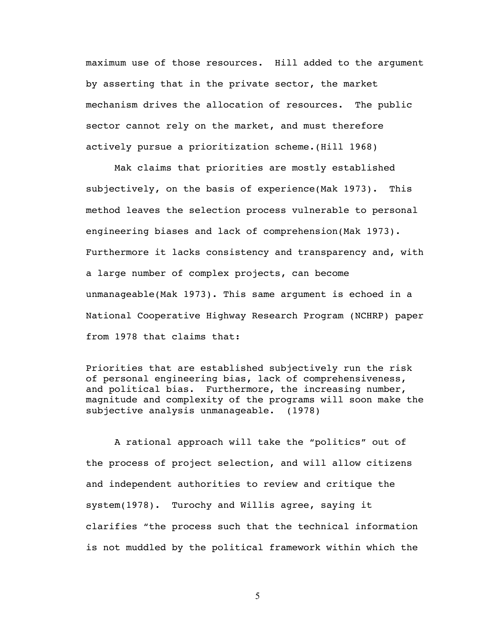maximum use of those resources. Hill added to the argument by asserting that in the private sector, the market mechanism drives the allocation of resources. The public sector cannot rely on the market, and must therefore actively pursue a prioritization scheme.(Hill 1968)

Mak claims that priorities are mostly established subjectively, on the basis of experience(Mak 1973). This method leaves the selection process vulnerable to personal engineering biases and lack of comprehension(Mak 1973). Furthermore it lacks consistency and transparency and, with a large number of complex projects, can become unmanageable(Mak 1973). This same argument is echoed in a National Cooperative Highway Research Program (NCHRP) paper from 1978 that claims that:

Priorities that are established subjectively run the risk of personal engineering bias, lack of comprehensiveness, and political bias. Furthermore, the increasing number, magnitude and complexity of the programs will soon make the subjective analysis unmanageable. (1978)

A rational approach will take the "politics" out of the process of project selection, and will allow citizens and independent authorities to review and critique the system(1978). Turochy and Willis agree, saying it clarifies "the process such that the technical information is not muddled by the political framework within which the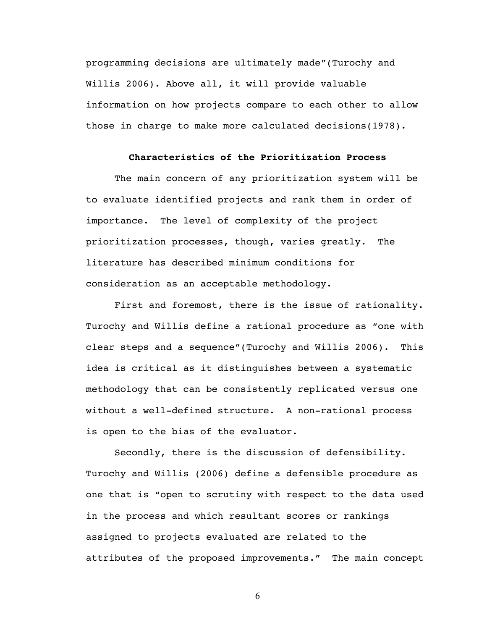programming decisions are ultimately made"(Turochy and Willis 2006). Above all, it will provide valuable information on how projects compare to each other to allow those in charge to make more calculated decisions(1978).

### **Characteristics of the Prioritization Process**

The main concern of any prioritization system will be to evaluate identified projects and rank them in order of importance. The level of complexity of the project prioritization processes, though, varies greatly. The literature has described minimum conditions for consideration as an acceptable methodology.

First and foremost, there is the issue of rationality. Turochy and Willis define a rational procedure as "one with clear steps and a sequence"(Turochy and Willis 2006). This idea is critical as it distinguishes between a systematic methodology that can be consistently replicated versus one without a well-defined structure. A non-rational process is open to the bias of the evaluator.

Secondly, there is the discussion of defensibility. Turochy and Willis (2006) define a defensible procedure as one that is "open to scrutiny with respect to the data used in the process and which resultant scores or rankings assigned to projects evaluated are related to the attributes of the proposed improvements." The main concept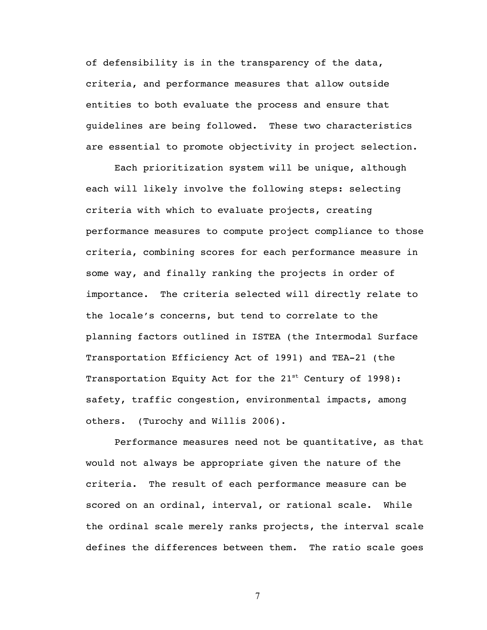of defensibility is in the transparency of the data, criteria, and performance measures that allow outside entities to both evaluate the process and ensure that guidelines are being followed. These two characteristics are essential to promote objectivity in project selection.

Each prioritization system will be unique, although each will likely involve the following steps: selecting criteria with which to evaluate projects, creating performance measures to compute project compliance to those criteria, combining scores for each performance measure in some way, and finally ranking the projects in order of importance. The criteria selected will directly relate to the locale's concerns, but tend to correlate to the planning factors outlined in ISTEA (the Intermodal Surface Transportation Efficiency Act of 1991) and TEA-21 (the Transportation Equity Act for the 21<sup>st</sup> Century of 1998): safety, traffic congestion, environmental impacts, among others. (Turochy and Willis 2006).

Performance measures need not be quantitative, as that would not always be appropriate given the nature of the criteria. The result of each performance measure can be scored on an ordinal, interval, or rational scale. While the ordinal scale merely ranks projects, the interval scale defines the differences between them. The ratio scale goes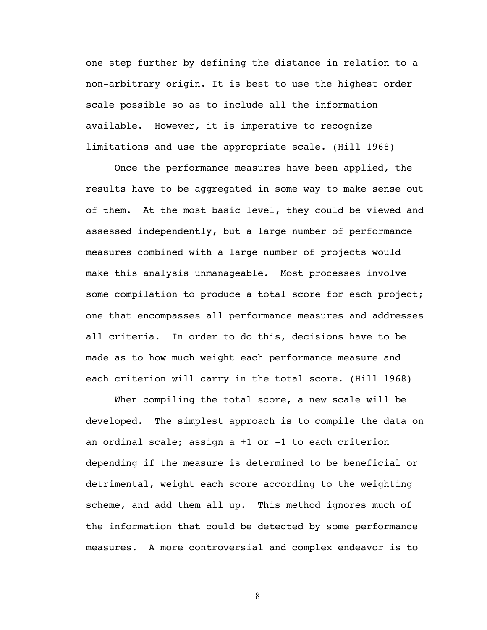one step further by defining the distance in relation to a non-arbitrary origin. It is best to use the highest order scale possible so as to include all the information available. However, it is imperative to recognize limitations and use the appropriate scale. (Hill 1968)

Once the performance measures have been applied, the results have to be aggregated in some way to make sense out of them. At the most basic level, they could be viewed and assessed independently, but a large number of performance measures combined with a large number of projects would make this analysis unmanageable. Most processes involve some compilation to produce a total score for each project; one that encompasses all performance measures and addresses all criteria. In order to do this, decisions have to be made as to how much weight each performance measure and each criterion will carry in the total score. (Hill 1968)

When compiling the total score, a new scale will be developed. The simplest approach is to compile the data on an ordinal scale; assign a +1 or -1 to each criterion depending if the measure is determined to be beneficial or detrimental, weight each score according to the weighting scheme, and add them all up. This method ignores much of the information that could be detected by some performance measures. A more controversial and complex endeavor is to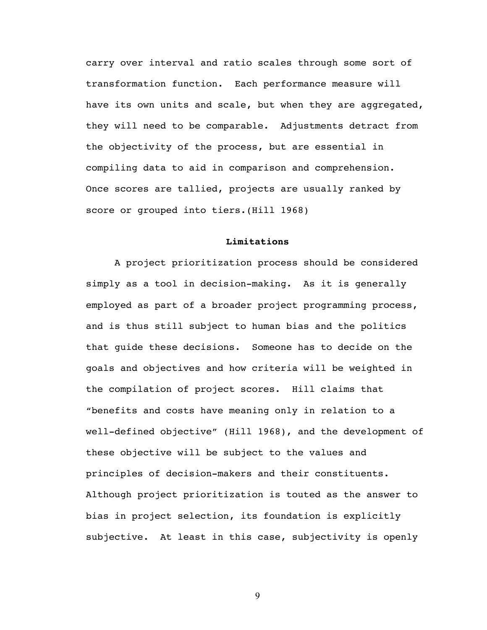carry over interval and ratio scales through some sort of transformation function. Each performance measure will have its own units and scale, but when they are aggregated, they will need to be comparable. Adjustments detract from the objectivity of the process, but are essential in compiling data to aid in comparison and comprehension. Once scores are tallied, projects are usually ranked by score or grouped into tiers.(Hill 1968)

### **Limitations**

A project prioritization process should be considered simply as a tool in decision-making. As it is generally employed as part of a broader project programming process, and is thus still subject to human bias and the politics that guide these decisions. Someone has to decide on the goals and objectives and how criteria will be weighted in the compilation of project scores. Hill claims that "benefits and costs have meaning only in relation to a well-defined objective" (Hill 1968), and the development of these objective will be subject to the values and principles of decision-makers and their constituents. Although project prioritization is touted as the answer to bias in project selection, its foundation is explicitly subjective. At least in this case, subjectivity is openly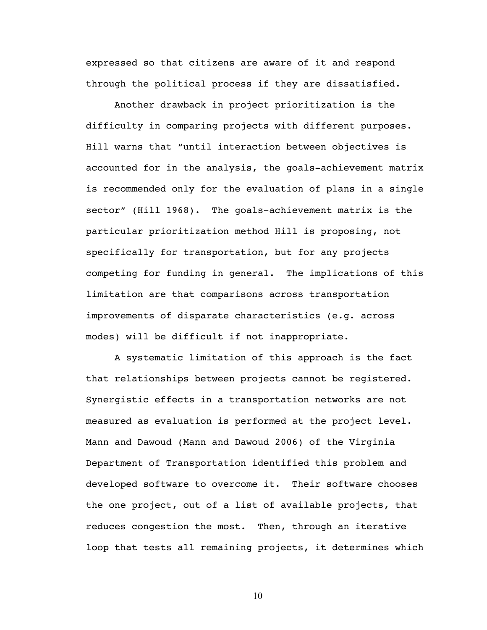expressed so that citizens are aware of it and respond through the political process if they are dissatisfied.

Another drawback in project prioritization is the difficulty in comparing projects with different purposes. Hill warns that "until interaction between objectives is accounted for in the analysis, the goals-achievement matrix is recommended only for the evaluation of plans in a single sector" (Hill 1968). The goals-achievement matrix is the particular prioritization method Hill is proposing, not specifically for transportation, but for any projects competing for funding in general. The implications of this limitation are that comparisons across transportation improvements of disparate characteristics (e.g. across modes) will be difficult if not inappropriate.

A systematic limitation of this approach is the fact that relationships between projects cannot be registered. Synergistic effects in a transportation networks are not measured as evaluation is performed at the project level. Mann and Dawoud (Mann and Dawoud 2006) of the Virginia Department of Transportation identified this problem and developed software to overcome it. Their software chooses the one project, out of a list of available projects, that reduces congestion the most. Then, through an iterative loop that tests all remaining projects, it determines which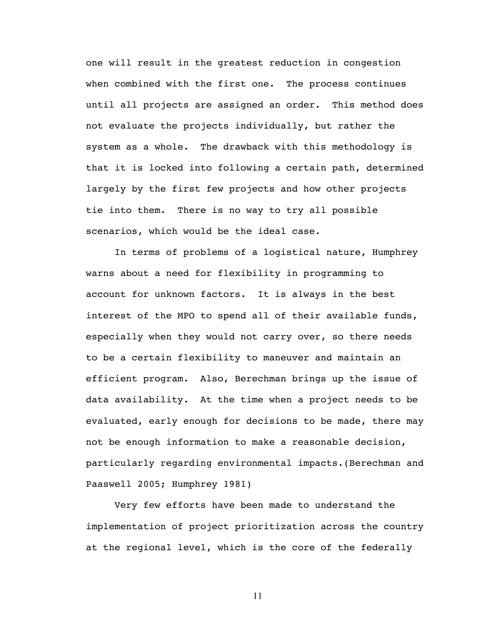one will result in the greatest reduction in congestion when combined with the first one. The process continues until all projects are assigned an order. This method does not evaluate the projects individually, but rather the system as a whole. The drawback with this methodology is that it is locked into following a certain path, determined largely by the first few projects and how other projects tie into them. There is no way to try all possible scenarios, which would be the ideal case.

In terms of problems of a logistical nature, Humphrey warns about a need for flexibility in programming to account for unknown factors. It is always in the best interest of the MPO to spend all of their available funds, especially when they would not carry over, so there needs to be a certain flexibility to maneuver and maintain an efficient program. Also, Berechman brings up the issue of data availability. At the time when a project needs to be evaluated, early enough for decisions to be made, there may not be enough information to make a reasonable decision, particularly regarding environmental impacts.(Berechman and Paaswell 2005; Humphrey 1981)

Very few efforts have been made to understand the implementation of project prioritization across the country at the regional level, which is the core of the federally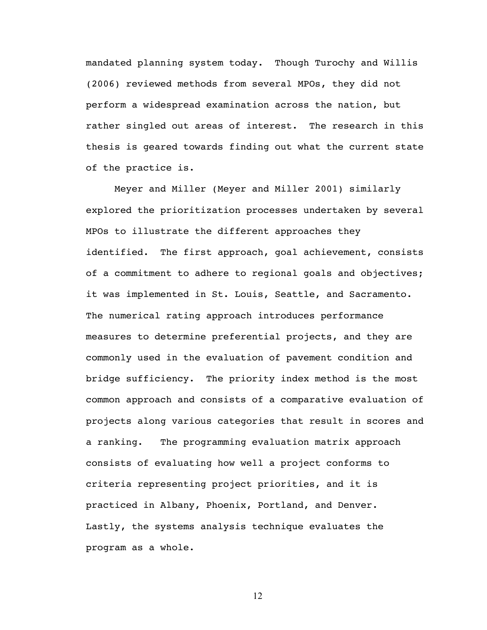mandated planning system today. Though Turochy and Willis (2006) reviewed methods from several MPOs, they did not perform a widespread examination across the nation, but rather singled out areas of interest. The research in this thesis is geared towards finding out what the current state of the practice is.

Meyer and Miller (Meyer and Miller 2001) similarly explored the prioritization processes undertaken by several MPOs to illustrate the different approaches they identified. The first approach, goal achievement, consists of a commitment to adhere to regional goals and objectives; it was implemented in St. Louis, Seattle, and Sacramento. The numerical rating approach introduces performance measures to determine preferential projects, and they are commonly used in the evaluation of pavement condition and bridge sufficiency. The priority index method is the most common approach and consists of a comparative evaluation of projects along various categories that result in scores and a ranking. The programming evaluation matrix approach consists of evaluating how well a project conforms to criteria representing project priorities, and it is practiced in Albany, Phoenix, Portland, and Denver. Lastly, the systems analysis technique evaluates the program as a whole.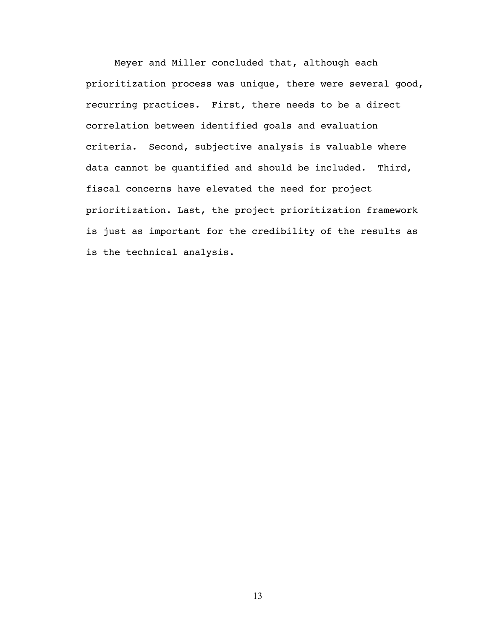Meyer and Miller concluded that, although each prioritization process was unique, there were several good, recurring practices. First, there needs to be a direct correlation between identified goals and evaluation criteria. Second, subjective analysis is valuable where data cannot be quantified and should be included. Third, fiscal concerns have elevated the need for project prioritization. Last, the project prioritization framework is just as important for the credibility of the results as is the technical analysis.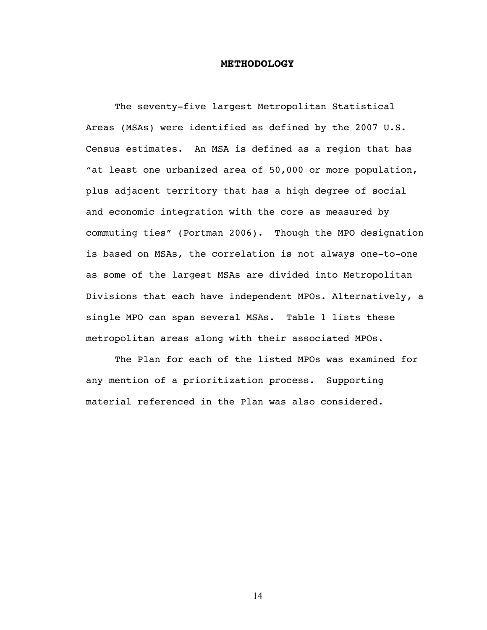### **METHODOLOGY**

The seventy-five largest Metropolitan Statistical Areas (MSAs) were identified as defined by the 2007 U.S. Census estimates. An MSA is defined as a region that has "at least one urbanized area of 50,000 or more population, plus adjacent territory that has a high degree of social and economic integration with the core as measured by commuting ties" (Portman 2006). Though the MPO designation is based on MSAs, the correlation is not always one-to-one as some of the largest MSAs are divided into Metropolitan Divisions that each have independent MPOs. Alternatively, a single MPO can span several MSAs. Table 1 lists these metropolitan areas along with their associated MPOs.

The Plan for each of the listed MPOs was examined for any mention of a prioritization process. Supporting material referenced in the Plan was also considered.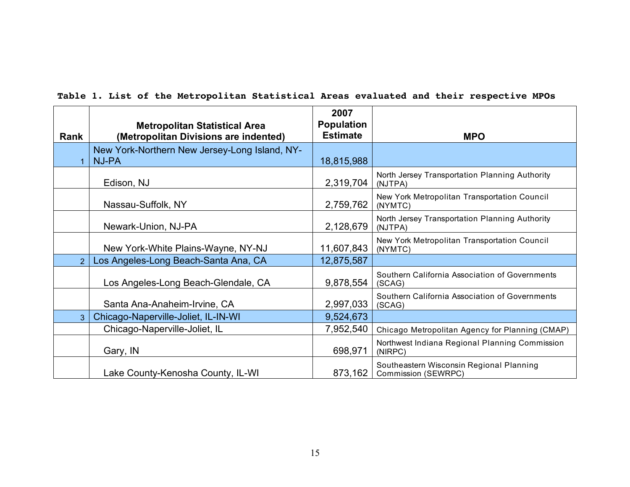| Rank           | <b>Metropolitan Statistical Area</b><br>(Metropolitan Divisions are indented) | 2007<br><b>Population</b><br><b>Estimate</b> | <b>MPO</b>                                                      |
|----------------|-------------------------------------------------------------------------------|----------------------------------------------|-----------------------------------------------------------------|
|                | New York-Northern New Jersey-Long Island, NY-<br><b>NJ-PA</b>                 | 18,815,988                                   |                                                                 |
|                | Edison, NJ                                                                    | 2,319,704                                    | North Jersey Transportation Planning Authority<br>(NJTPA)       |
|                | Nassau-Suffolk, NY                                                            | 2,759,762                                    | New York Metropolitan Transportation Council<br>(NYMTC)         |
|                | Newark-Union, NJ-PA                                                           | 2,128,679                                    | North Jersey Transportation Planning Authority<br>(NJTPA)       |
|                | New York-White Plains-Wayne, NY-NJ                                            | 11,607,843                                   | New York Metropolitan Transportation Council<br>(NYMTC)         |
| $\mathcal{P}$  | Los Angeles-Long Beach-Santa Ana, CA                                          | 12,875,587                                   |                                                                 |
|                | Los Angeles-Long Beach-Glendale, CA                                           | 9,878,554                                    | Southern California Association of Governments<br>(SCAG)        |
|                | Santa Ana-Anaheim-Irvine, CA                                                  | 2,997,033                                    | Southern California Association of Governments<br>(SCAG)        |
| 3 <sup>1</sup> | Chicago-Naperville-Joliet, IL-IN-WI                                           | 9,524,673                                    |                                                                 |
|                | Chicago-Naperville-Joliet, IL                                                 | 7,952,540                                    | Chicago Metropolitan Agency for Planning (CMAP)                 |
|                | Gary, IN                                                                      | 698,971                                      | Northwest Indiana Regional Planning Commission<br>(NIRPC)       |
|                | Lake County-Kenosha County, IL-WI                                             | 873,162                                      | Southeastern Wisconsin Regional Planning<br>Commission (SEWRPC) |

### **Table 1. List of the Metropolitan Statistical Areas evaluated and their respective MPOs**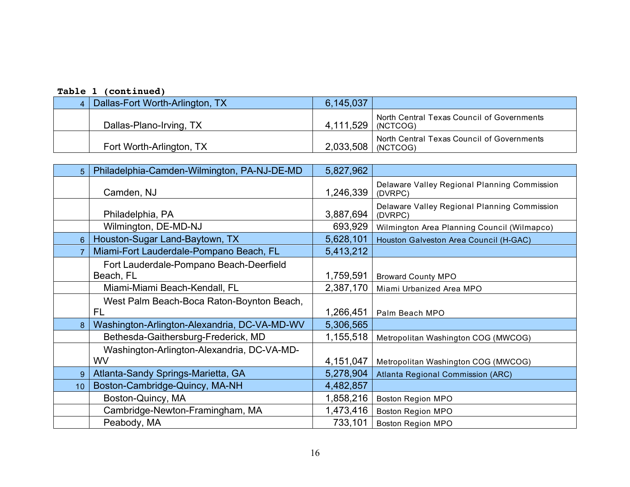| Dallas-Fort Worth-Arlington, TX | 6,145,037            |                                            |
|---------------------------------|----------------------|--------------------------------------------|
| Dallas-Plano-Irving, TX         | 4,111,529   (NCTCOG) | North Central Texas Council of Governments |
| Fort Worth-Arlington, TX        | 2.033,508   (NCTCOG) | North Central Texas Council of Governments |

| 5.              | Philadelphia-Camden-Wilmington, PA-NJ-DE-MD     | 5,827,962 |                                                         |  |
|-----------------|-------------------------------------------------|-----------|---------------------------------------------------------|--|
|                 | Camden, NJ                                      | 1,246,339 | Delaware Valley Regional Planning Commission<br>(DVRPC) |  |
|                 | Philadelphia, PA                                | 3,887,694 | Delaware Valley Regional Planning Commission<br>(DVRPC) |  |
|                 | Wilmington, DE-MD-NJ                            | 693,929   | Wilmington Area Planning Council (Wilmapco)             |  |
| 6               | Houston-Sugar Land-Baytown, TX                  | 5,628,101 | Houston Galveston Area Council (H-GAC)                  |  |
|                 | Miami-Fort Lauderdale-Pompano Beach, FL         | 5,413,212 |                                                         |  |
|                 | Fort Lauderdale-Pompano Beach-Deerfield         |           |                                                         |  |
|                 | Beach, FL                                       | 1,759,591 | <b>Broward County MPO</b>                               |  |
|                 | Miami-Miami Beach-Kendall, FL                   | 2,387,170 | Miami Urbanized Area MPO                                |  |
|                 | West Palm Beach-Boca Raton-Boynton Beach,<br>FL | 1,266,451 | Palm Beach MPO                                          |  |
| 8               | Washington-Arlington-Alexandria, DC-VA-MD-WV    | 5,306,565 |                                                         |  |
|                 | Bethesda-Gaithersburg-Frederick, MD             | 1,155,518 | Metropolitan Washington COG (MWCOG)                     |  |
|                 | Washington-Arlington-Alexandria, DC-VA-MD-      |           |                                                         |  |
|                 | <b>WV</b>                                       | 4,151,047 | Metropolitan Washington COG (MWCOG)                     |  |
| 9               | Atlanta-Sandy Springs-Marietta, GA              | 5,278,904 | Atlanta Regional Commission (ARC)                       |  |
| 10 <sub>1</sub> | Boston-Cambridge-Quincy, MA-NH                  | 4,482,857 |                                                         |  |
|                 | Boston-Quincy, MA                               | 1,858,216 | <b>Boston Region MPO</b>                                |  |
|                 | Cambridge-Newton-Framingham, MA                 | 1,473,416 | <b>Boston Region MPO</b>                                |  |
|                 | Peabody, MA                                     | 733,101   | <b>Boston Region MPO</b>                                |  |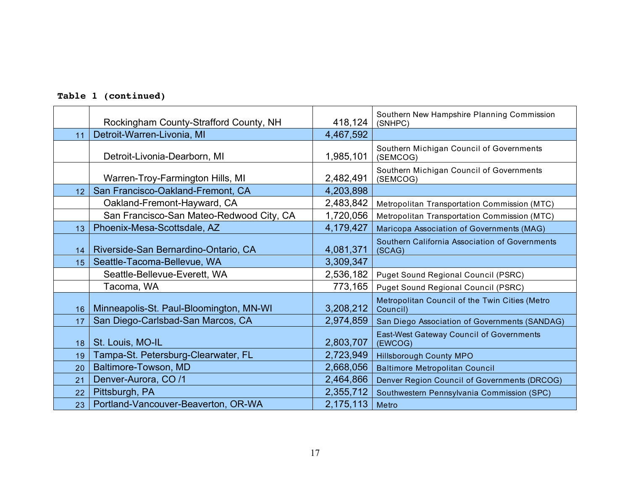|                 | Rockingham County-Strafford County, NH   | 418,124   | Southern New Hampshire Planning Commission<br>(SNHPC)      |
|-----------------|------------------------------------------|-----------|------------------------------------------------------------|
| 11              | Detroit-Warren-Livonia, MI               | 4,467,592 |                                                            |
|                 | Detroit-Livonia-Dearborn, MI             | 1,985,101 | Southern Michigan Council of Governments<br>(SEMCOG)       |
|                 | Warren-Troy-Farmington Hills, MI         | 2,482,491 | Southern Michigan Council of Governments<br>(SEMCOG)       |
| 12 <sub>2</sub> | San Francisco-Oakland-Fremont, CA        | 4,203,898 |                                                            |
|                 | Oakland-Fremont-Hayward, CA              | 2,483,842 | Metropolitan Transportation Commission (MTC)               |
|                 | San Francisco-San Mateo-Redwood City, CA | 1,720,056 | Metropolitan Transportation Commission (MTC)               |
| 13              | Phoenix-Mesa-Scottsdale, AZ              | 4,179,427 | Maricopa Association of Governments (MAG)                  |
| 14              | Riverside-San Bernardino-Ontario, CA     | 4,081,371 | Southern California Association of Governments<br>(SCAG)   |
| 15              | Seattle-Tacoma-Bellevue, WA              | 3,309,347 |                                                            |
|                 | Seattle-Bellevue-Everett, WA             | 2,536,182 | Puget Sound Regional Council (PSRC)                        |
|                 | Tacoma, WA                               | 773,165   | Puget Sound Regional Council (PSRC)                        |
| 16              | Minneapolis-St. Paul-Bloomington, MN-WI  | 3,208,212 | Metropolitan Council of the Twin Cities (Metro<br>Council) |
| 17              | San Diego-Carlsbad-San Marcos, CA        | 2,974,859 | San Diego Association of Governments (SANDAG)              |
| 18              | St. Louis, MO-IL                         | 2,803,707 | <b>East-West Gateway Council of Governments</b><br>(EWCOG) |
| 19              | Tampa-St. Petersburg-Clearwater, FL      | 2,723,949 | <b>Hillsborough County MPO</b>                             |
| 20              | Baltimore-Towson, MD                     | 2,668,056 | <b>Baltimore Metropolitan Council</b>                      |
| 21              | Denver-Aurora, CO /1                     | 2,464,866 | Denver Region Council of Governments (DRCOG)               |
| 22              | Pittsburgh, PA                           | 2,355,712 | Southwestern Pennsylvania Commission (SPC)                 |
| 23              | Portland-Vancouver-Beaverton, OR-WA      | 2,175,113 | Metro                                                      |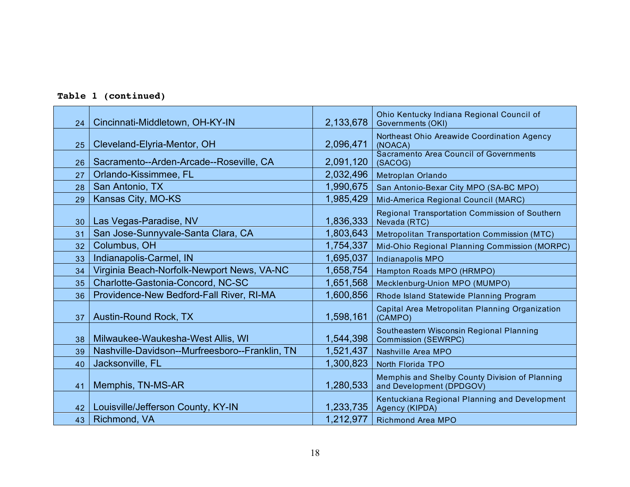| 24 | Cincinnati-Middletown, OH-KY-IN                | 2,133,678 | Ohio Kentucky Indiana Regional Council of<br><b>Governments (OKI)</b>      |
|----|------------------------------------------------|-----------|----------------------------------------------------------------------------|
| 25 | Cleveland-Elyria-Mentor, OH                    | 2,096,471 | Northeast Ohio Areawide Coordination Agency<br>(NOACA)                     |
| 26 | Sacramento--Arden-Arcade--Roseville, CA        | 2,091,120 | Sacramento Area Council of Governments<br>(SACOG)                          |
| 27 | Orlando-Kissimmee, FL                          | 2,032,496 | Metroplan Orlando                                                          |
| 28 | San Antonio, TX                                | 1,990,675 | San Antonio-Bexar City MPO (SA-BC MPO)                                     |
| 29 | Kansas City, MO-KS                             | 1,985,429 | Mid-America Regional Council (MARC)                                        |
| 30 | Las Vegas-Paradise, NV                         | 1,836,333 | Regional Transportation Commission of Southern<br>Nevada (RTC)             |
| 31 | San Jose-Sunnyvale-Santa Clara, CA             | 1,803,643 | Metropolitan Transportation Commission (MTC)                               |
| 32 | Columbus, OH                                   | 1,754,337 | Mid-Ohio Regional Planning Commission (MORPC)                              |
| 33 | Indianapolis-Carmel, IN                        | 1,695,037 | Indianapolis MPO                                                           |
| 34 | Virginia Beach-Norfolk-Newport News, VA-NC     | 1,658,754 | Hampton Roads MPO (HRMPO)                                                  |
| 35 | Charlotte-Gastonia-Concord, NC-SC              | 1,651,568 | Mecklenburg-Union MPO (MUMPO)                                              |
| 36 | Providence-New Bedford-Fall River, RI-MA       | 1,600,856 | Rhode Island Statewide Planning Program                                    |
| 37 | Austin-Round Rock, TX                          | 1,598,161 | Capital Area Metropolitan Planning Organization<br>(CAMPO)                 |
| 38 | Milwaukee-Waukesha-West Allis, WI              | 1,544,398 | Southeastern Wisconsin Regional Planning<br><b>Commission (SEWRPC)</b>     |
| 39 | Nashville-Davidson--Murfreesboro--Franklin, TN | 1,521,437 | Nashville Area MPO                                                         |
| 40 | Jacksonville, FL                               | 1,300,823 | North Florida TPO                                                          |
| 41 | Memphis, TN-MS-AR                              | 1,280,533 | Memphis and Shelby County Division of Planning<br>and Development (DPDGOV) |
| 42 | Louisville/Jefferson County, KY-IN             | 1,233,735 | Kentuckiana Regional Planning and Development<br>Agency (KIPDA)            |
| 43 | Richmond, VA                                   | 1,212,977 | Richmond Area MPO                                                          |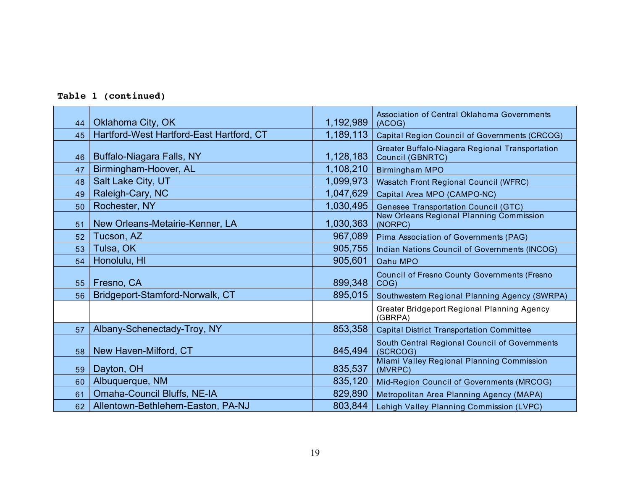|  | Table 1 (continued) |
|--|---------------------|
|--|---------------------|

|    |                                          |           | Association of Central Oklahoma Governments                         |  |
|----|------------------------------------------|-----------|---------------------------------------------------------------------|--|
| 44 | Oklahoma City, OK                        | 1,192,989 | (ACOG)                                                              |  |
| 45 | Hartford-West Hartford-East Hartford, CT | 1,189,113 | <b>Capital Region Council of Governments (CRCOG)</b>                |  |
| 46 | Buffalo-Niagara Falls, NY                | 1,128,183 | Greater Buffalo-Niagara Regional Transportation<br>Council (GBNRTC) |  |
| 47 | Birmingham-Hoover, AL                    | 1,108,210 | <b>Birmingham MPO</b>                                               |  |
| 48 | Salt Lake City, UT                       | 1,099,973 | <b>Wasatch Front Regional Council (WFRC)</b>                        |  |
| 49 | Raleigh-Cary, NC                         | 1,047,629 | Capital Area MPO (CAMPO-NC)                                         |  |
| 50 | Rochester, NY                            | 1,030,495 | Genesee Transportation Council (GTC)                                |  |
| 51 | New Orleans-Metairie-Kenner, LA          | 1,030,363 | <b>New Orleans Regional Planning Commission</b><br>(NORPC)          |  |
| 52 | Tucson, AZ                               | 967,089   | Pima Association of Governments (PAG)                               |  |
| 53 | Tulsa, OK                                | 905,755   | Indian Nations Council of Governments (INCOG)                       |  |
| 54 | Honolulu, HI                             | 905,601   | Oahu MPO                                                            |  |
| 55 | Fresno, CA                               | 899,348   | <b>Council of Fresno County Governments (Fresno</b><br>COG)         |  |
| 56 | Bridgeport-Stamford-Norwalk, CT          | 895,015   | Southwestern Regional Planning Agency (SWRPA)                       |  |
|    |                                          |           | Greater Bridgeport Regional Planning Agency<br>(GBRPA)              |  |
| 57 | Albany-Schenectady-Troy, NY              | 853,358   | <b>Capital District Transportation Committee</b>                    |  |
| 58 | New Haven-Milford, CT                    | 845,494   | South Central Regional Council of Governments<br>(SCRCOG)           |  |
| 59 | Dayton, OH                               | 835,537   | Miami Valley Regional Planning Commission<br>(MVRPC)                |  |
| 60 | Albuquerque, NM                          | 835,120   | Mid-Region Council of Governments (MRCOG)                           |  |
| 61 | Omaha-Council Bluffs, NE-IA              | 829,890   | Metropolitan Area Planning Agency (MAPA)                            |  |
| 62 | Allentown-Bethlehem-Easton, PA-NJ        | 803,844   | Lehigh Valley Planning Commission (LVPC)                            |  |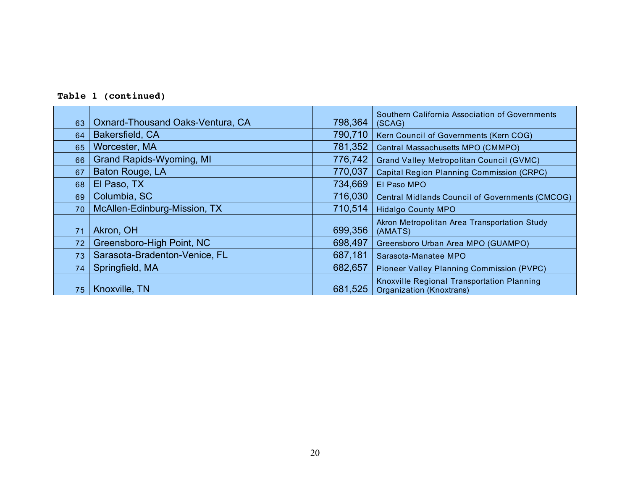|  | Table 1 (continued) |
|--|---------------------|
|--|---------------------|

| 63 | Oxnard-Thousand Oaks-Ventura, CA | 798,364 | Southern California Association of Governments<br>(SCAG)                      |
|----|----------------------------------|---------|-------------------------------------------------------------------------------|
| 64 | Bakersfield, CA                  | 790,710 | Kern Council of Governments (Kern COG)                                        |
| 65 | Worcester, MA                    | 781,352 | Central Massachusetts MPO (CMMPO)                                             |
| 66 | <b>Grand Rapids-Wyoming, MI</b>  | 776,742 | <b>Grand Valley Metropolitan Council (GVMC)</b>                               |
| 67 | Baton Rouge, LA                  | 770,037 | <b>Capital Region Planning Commission (CRPC)</b>                              |
| 68 | El Paso, TX                      | 734,669 | El Paso MPO                                                                   |
| 69 | Columbia, SC                     | 716,030 | <b>Central Midlands Council of Governments (CMCOG)</b>                        |
| 70 | McAllen-Edinburg-Mission, TX     | 710,514 | <b>Hidalgo County MPO</b>                                                     |
| 71 | Akron, OH                        | 699,356 | Akron Metropolitan Area Transportation Study<br>(AMATS)                       |
| 72 | Greensboro-High Point, NC        | 698,497 | Greensboro Urban Area MPO (GUAMPO)                                            |
| 73 | Sarasota-Bradenton-Venice, FL    | 687,181 | Sarasota-Manatee MPO                                                          |
| 74 | Springfield, MA                  | 682,657 | Pioneer Valley Planning Commission (PVPC)                                     |
| 75 | Knoxville, TN                    | 681,525 | Knoxville Regional Transportation Planning<br><b>Organization (Knoxtrans)</b> |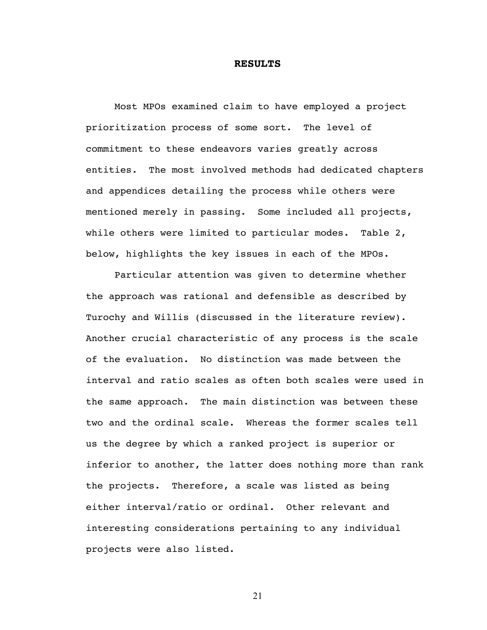#### **RESULTS**

Most MPOs examined claim to have employed a project prioritization process of some sort. The level of commitment to these endeavors varies greatly across entities. The most involved methods had dedicated chapters and appendices detailing the process while others were mentioned merely in passing. Some included all projects, while others were limited to particular modes. Table 2, below, highlights the key issues in each of the MPOs.

Particular attention was given to determine whether the approach was rational and defensible as described by Turochy and Willis (discussed in the literature review). Another crucial characteristic of any process is the scale of the evaluation. No distinction was made between the interval and ratio scales as often both scales were used in the same approach. The main distinction was between these two and the ordinal scale. Whereas the former scales tell us the degree by which a ranked project is superior or inferior to another, the latter does nothing more than rank the projects. Therefore, a scale was listed as being either interval/ratio or ordinal. Other relevant and interesting considerations pertaining to any individual projects were also listed.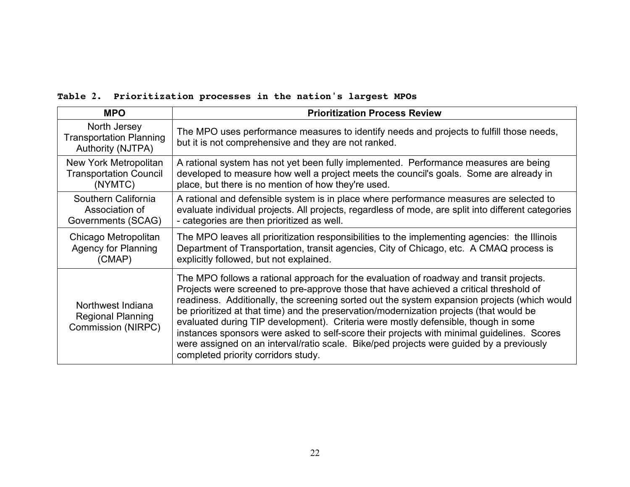### **Table 2. Prioritization processes in the nation's largest MPOs**

| <b>MPO</b>                                                          | <b>Prioritization Process Review</b>                                                                                                                                                                                                                                                                                                                                                                                                                                                                                                                                                                                                                                                               |
|---------------------------------------------------------------------|----------------------------------------------------------------------------------------------------------------------------------------------------------------------------------------------------------------------------------------------------------------------------------------------------------------------------------------------------------------------------------------------------------------------------------------------------------------------------------------------------------------------------------------------------------------------------------------------------------------------------------------------------------------------------------------------------|
| North Jersey<br><b>Transportation Planning</b><br>Authority (NJTPA) | The MPO uses performance measures to identify needs and projects to fulfill those needs,<br>but it is not comprehensive and they are not ranked.                                                                                                                                                                                                                                                                                                                                                                                                                                                                                                                                                   |
| New York Metropolitan                                               | A rational system has not yet been fully implemented. Performance measures are being                                                                                                                                                                                                                                                                                                                                                                                                                                                                                                                                                                                                               |
| <b>Transportation Council</b>                                       | developed to measure how well a project meets the council's goals. Some are already in                                                                                                                                                                                                                                                                                                                                                                                                                                                                                                                                                                                                             |
| (NYMTC)                                                             | place, but there is no mention of how they're used.                                                                                                                                                                                                                                                                                                                                                                                                                                                                                                                                                                                                                                                |
| Southern California                                                 | A rational and defensible system is in place where performance measures are selected to                                                                                                                                                                                                                                                                                                                                                                                                                                                                                                                                                                                                            |
| Association of                                                      | evaluate individual projects. All projects, regardless of mode, are split into different categories                                                                                                                                                                                                                                                                                                                                                                                                                                                                                                                                                                                                |
| Governments (SCAG)                                                  | - categories are then prioritized as well.                                                                                                                                                                                                                                                                                                                                                                                                                                                                                                                                                                                                                                                         |
| Chicago Metropolitan                                                | The MPO leaves all prioritization responsibilities to the implementing agencies: the Illinois                                                                                                                                                                                                                                                                                                                                                                                                                                                                                                                                                                                                      |
| <b>Agency for Planning</b>                                          | Department of Transportation, transit agencies, City of Chicago, etc. A CMAQ process is                                                                                                                                                                                                                                                                                                                                                                                                                                                                                                                                                                                                            |
| (CMAP)                                                              | explicitly followed, but not explained.                                                                                                                                                                                                                                                                                                                                                                                                                                                                                                                                                                                                                                                            |
| Northwest Indiana<br><b>Regional Planning</b><br>Commission (NIRPC) | The MPO follows a rational approach for the evaluation of roadway and transit projects.<br>Projects were screened to pre-approve those that have achieved a critical threshold of<br>readiness. Additionally, the screening sorted out the system expansion projects (which would<br>be prioritized at that time) and the preservation/modernization projects (that would be<br>evaluated during TIP development). Criteria were mostly defensible, though in some<br>instances sponsors were asked to self-score their projects with minimal guidelines. Scores<br>were assigned on an interval/ratio scale. Bike/ped projects were guided by a previously<br>completed priority corridors study. |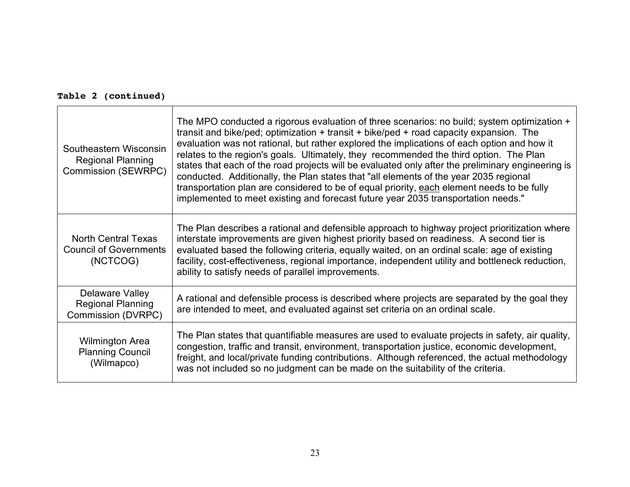| Southeastern Wisconsin<br><b>Regional Planning</b><br><b>Commission (SEWRPC)</b> | The MPO conducted a rigorous evaluation of three scenarios: no build; system optimization +<br>transit and bike/ped; optimization + transit + bike/ped + road capacity expansion. The<br>evaluation was not rational, but rather explored the implications of each option and how it<br>relates to the region's goals. Ultimately, they recommended the third option. The Plan<br>states that each of the road projects will be evaluated only after the preliminary engineering is<br>conducted. Additionally, the Plan states that "all elements of the year 2035 regional<br>transportation plan are considered to be of equal priority, each element needs to be fully<br>implemented to meet existing and forecast future year 2035 transportation needs." |
|----------------------------------------------------------------------------------|-----------------------------------------------------------------------------------------------------------------------------------------------------------------------------------------------------------------------------------------------------------------------------------------------------------------------------------------------------------------------------------------------------------------------------------------------------------------------------------------------------------------------------------------------------------------------------------------------------------------------------------------------------------------------------------------------------------------------------------------------------------------|
| <b>North Central Texas</b><br><b>Council of Governments</b><br>(NCTCOG)          | The Plan describes a rational and defensible approach to highway project prioritization where<br>interstate improvements are given highest priority based on readiness. A second tier is<br>evaluated based the following criteria, equally waited, on an ordinal scale: age of existing<br>facility, cost-effectiveness, regional importance, independent utility and bottleneck reduction,<br>ability to satisfy needs of parallel improvements.                                                                                                                                                                                                                                                                                                              |
| Delaware Valley<br><b>Regional Planning</b><br>Commission (DVRPC)                | A rational and defensible process is described where projects are separated by the goal they<br>are intended to meet, and evaluated against set criteria on an ordinal scale.                                                                                                                                                                                                                                                                                                                                                                                                                                                                                                                                                                                   |
| <b>Wilmington Area</b><br><b>Planning Council</b><br>(Wilmapco)                  | The Plan states that quantifiable measures are used to evaluate projects in safety, air quality,<br>congestion, traffic and transit, environment, transportation justice, economic development,<br>freight, and local/private funding contributions. Although referenced, the actual methodology<br>was not included so no judgment can be made on the suitability of the criteria.                                                                                                                                                                                                                                                                                                                                                                             |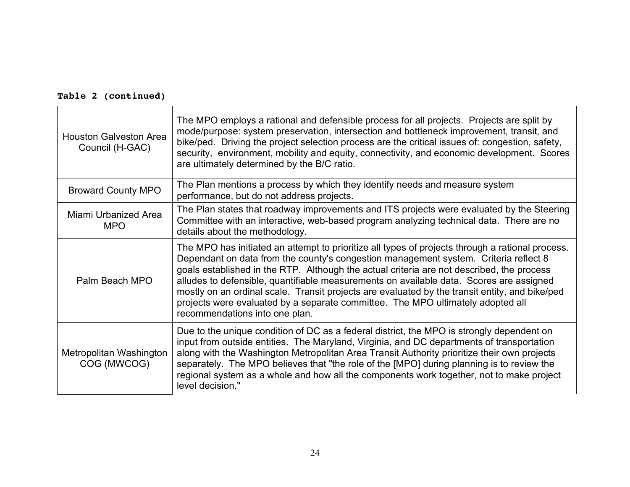| <b>Houston Galveston Area</b><br>Council (H-GAC) | The MPO employs a rational and defensible process for all projects. Projects are split by<br>mode/purpose: system preservation, intersection and bottleneck improvement, transit, and<br>bike/ped. Driving the project selection process are the critical issues of: congestion, safety,<br>security, environment, mobility and equity, connectivity, and economic development. Scores<br>are ultimately determined by the B/C ratio.                                                                                                                                                                   |
|--------------------------------------------------|---------------------------------------------------------------------------------------------------------------------------------------------------------------------------------------------------------------------------------------------------------------------------------------------------------------------------------------------------------------------------------------------------------------------------------------------------------------------------------------------------------------------------------------------------------------------------------------------------------|
| <b>Broward County MPO</b>                        | The Plan mentions a process by which they identify needs and measure system<br>performance, but do not address projects.                                                                                                                                                                                                                                                                                                                                                                                                                                                                                |
| Miami Urbanized Area<br><b>MPO</b>               | The Plan states that roadway improvements and ITS projects were evaluated by the Steering<br>Committee with an interactive, web-based program analyzing technical data. There are no<br>details about the methodology.                                                                                                                                                                                                                                                                                                                                                                                  |
| Palm Beach MPO                                   | The MPO has initiated an attempt to prioritize all types of projects through a rational process.<br>Dependant on data from the county's congestion management system. Criteria reflect 8<br>goals established in the RTP. Although the actual criteria are not described, the process<br>alludes to defensible, quantifiable measurements on available data. Scores are assigned<br>mostly on an ordinal scale. Transit projects are evaluated by the transit entity, and bike/ped<br>projects were evaluated by a separate committee. The MPO ultimately adopted all<br>recommendations into one plan. |
| Metropolitan Washington<br>COG (MWCOG)           | Due to the unique condition of DC as a federal district, the MPO is strongly dependent on<br>input from outside entities. The Maryland, Virginia, and DC departments of transportation<br>along with the Washington Metropolitan Area Transit Authority prioritize their own projects<br>separately. The MPO believes that "the role of the [MPO] during planning is to review the<br>regional system as a whole and how all the components work together, not to make project<br>level decision."                                                                                                      |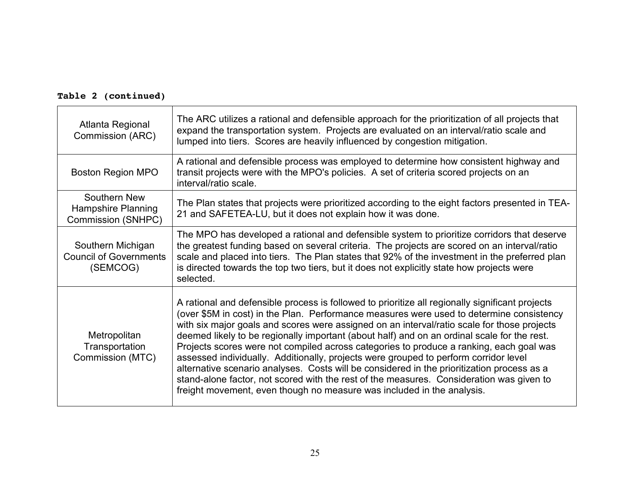| Atlanta Regional<br>Commission (ARC)                           | The ARC utilizes a rational and defensible approach for the prioritization of all projects that<br>expand the transportation system. Projects are evaluated on an interval/ratio scale and<br>lumped into tiers. Scores are heavily influenced by congestion mitigation.                                                                                                                                                                                                                                                                                                                                                                                                                                                                                                                                                                         |
|----------------------------------------------------------------|--------------------------------------------------------------------------------------------------------------------------------------------------------------------------------------------------------------------------------------------------------------------------------------------------------------------------------------------------------------------------------------------------------------------------------------------------------------------------------------------------------------------------------------------------------------------------------------------------------------------------------------------------------------------------------------------------------------------------------------------------------------------------------------------------------------------------------------------------|
| <b>Boston Region MPO</b>                                       | A rational and defensible process was employed to determine how consistent highway and<br>transit projects were with the MPO's policies. A set of criteria scored projects on an<br>interval/ratio scale.                                                                                                                                                                                                                                                                                                                                                                                                                                                                                                                                                                                                                                        |
| Southern New<br>Hampshire Planning<br>Commission (SNHPC)       | The Plan states that projects were prioritized according to the eight factors presented in TEA-<br>21 and SAFETEA-LU, but it does not explain how it was done.                                                                                                                                                                                                                                                                                                                                                                                                                                                                                                                                                                                                                                                                                   |
| Southern Michigan<br><b>Council of Governments</b><br>(SEMCOG) | The MPO has developed a rational and defensible system to prioritize corridors that deserve<br>the greatest funding based on several criteria. The projects are scored on an interval/ratio<br>scale and placed into tiers. The Plan states that 92% of the investment in the preferred plan<br>is directed towards the top two tiers, but it does not explicitly state how projects were<br>selected.                                                                                                                                                                                                                                                                                                                                                                                                                                           |
| Metropolitan<br>Transportation<br>Commission (MTC)             | A rational and defensible process is followed to prioritize all regionally significant projects<br>(over \$5M in cost) in the Plan. Performance measures were used to determine consistency<br>with six major goals and scores were assigned on an interval/ratio scale for those projects<br>deemed likely to be regionally important (about half) and on an ordinal scale for the rest.<br>Projects scores were not compiled across categories to produce a ranking, each goal was<br>assessed individually. Additionally, projects were grouped to perform corridor level<br>alternative scenario analyses. Costs will be considered in the prioritization process as a<br>stand-alone factor, not scored with the rest of the measures. Consideration was given to<br>freight movement, even though no measure was included in the analysis. |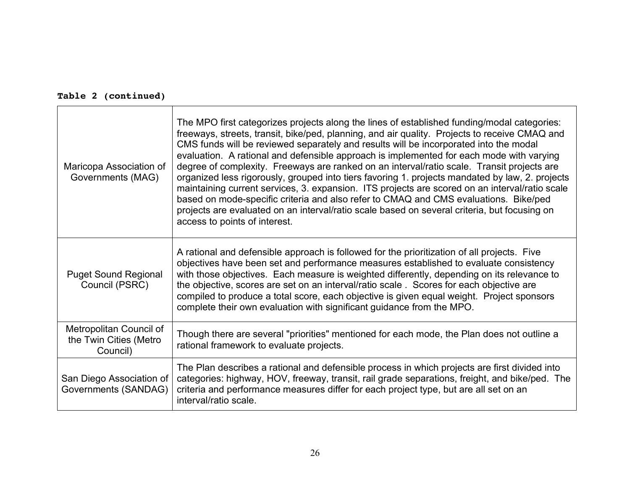| Maricopa Association of<br>Governments (MAG)                  | The MPO first categorizes projects along the lines of established funding/modal categories:<br>freeways, streets, transit, bike/ped, planning, and air quality. Projects to receive CMAQ and<br>CMS funds will be reviewed separately and results will be incorporated into the modal<br>evaluation. A rational and defensible approach is implemented for each mode with varying<br>degree of complexity. Freeways are ranked on an interval/ratio scale. Transit projects are<br>organized less rigorously, grouped into tiers favoring 1. projects mandated by law, 2. projects<br>maintaining current services, 3. expansion. ITS projects are scored on an interval/ratio scale<br>based on mode-specific criteria and also refer to CMAQ and CMS evaluations. Bike/ped<br>projects are evaluated on an interval/ratio scale based on several criteria, but focusing on<br>access to points of interest. |
|---------------------------------------------------------------|---------------------------------------------------------------------------------------------------------------------------------------------------------------------------------------------------------------------------------------------------------------------------------------------------------------------------------------------------------------------------------------------------------------------------------------------------------------------------------------------------------------------------------------------------------------------------------------------------------------------------------------------------------------------------------------------------------------------------------------------------------------------------------------------------------------------------------------------------------------------------------------------------------------|
| <b>Puget Sound Regional</b><br>Council (PSRC)                 | A rational and defensible approach is followed for the prioritization of all projects. Five<br>objectives have been set and performance measures established to evaluate consistency<br>with those objectives. Each measure is weighted differently, depending on its relevance to<br>the objective, scores are set on an interval/ratio scale . Scores for each objective are<br>compiled to produce a total score, each objective is given equal weight. Project sponsors<br>complete their own evaluation with significant guidance from the MPO.                                                                                                                                                                                                                                                                                                                                                          |
| Metropolitan Council of<br>the Twin Cities (Metro<br>Council) | Though there are several "priorities" mentioned for each mode, the Plan does not outline a<br>rational framework to evaluate projects.                                                                                                                                                                                                                                                                                                                                                                                                                                                                                                                                                                                                                                                                                                                                                                        |
| San Diego Association of<br>Governments (SANDAG)              | The Plan describes a rational and defensible process in which projects are first divided into<br>categories: highway, HOV, freeway, transit, rail grade separations, freight, and bike/ped. The<br>criteria and performance measures differ for each project type, but are all set on an<br>interval/ratio scale.                                                                                                                                                                                                                                                                                                                                                                                                                                                                                                                                                                                             |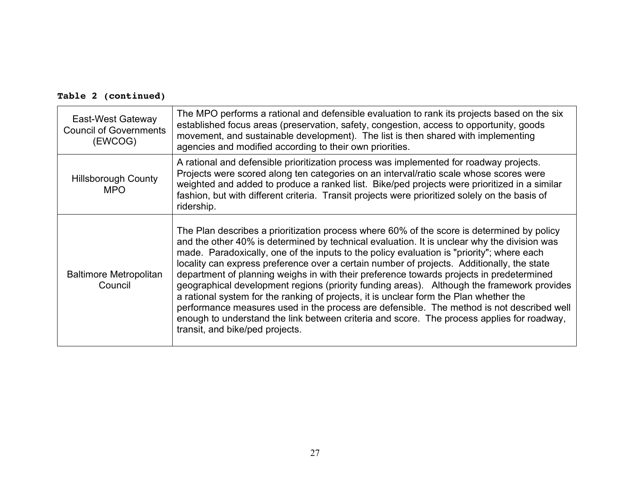| East-West Gateway<br><b>Council of Governments</b><br>(EWCOG) | The MPO performs a rational and defensible evaluation to rank its projects based on the six<br>established focus areas (preservation, safety, congestion, access to opportunity, goods<br>movement, and sustainable development). The list is then shared with implementing<br>agencies and modified according to their own priorities.                                                                                                                                                                                                                                                                                                                                                                                                                                                                                                                                                                |
|---------------------------------------------------------------|--------------------------------------------------------------------------------------------------------------------------------------------------------------------------------------------------------------------------------------------------------------------------------------------------------------------------------------------------------------------------------------------------------------------------------------------------------------------------------------------------------------------------------------------------------------------------------------------------------------------------------------------------------------------------------------------------------------------------------------------------------------------------------------------------------------------------------------------------------------------------------------------------------|
| <b>Hillsborough County</b><br><b>MPO</b>                      | A rational and defensible prioritization process was implemented for roadway projects.<br>Projects were scored along ten categories on an interval/ratio scale whose scores were<br>weighted and added to produce a ranked list. Bike/ped projects were prioritized in a similar<br>fashion, but with different criteria. Transit projects were prioritized solely on the basis of<br>ridership.                                                                                                                                                                                                                                                                                                                                                                                                                                                                                                       |
| <b>Baltimore Metropolitan</b><br>Council                      | The Plan describes a prioritization process where 60% of the score is determined by policy<br>and the other 40% is determined by technical evaluation. It is unclear why the division was<br>made. Paradoxically, one of the inputs to the policy evaluation is "priority"; where each<br>locality can express preference over a certain number of projects. Additionally, the state<br>department of planning weighs in with their preference towards projects in predetermined<br>geographical development regions (priority funding areas). Although the framework provides<br>a rational system for the ranking of projects, it is unclear form the Plan whether the<br>performance measures used in the process are defensible. The method is not described well<br>enough to understand the link between criteria and score. The process applies for roadway,<br>transit, and bike/ped projects. |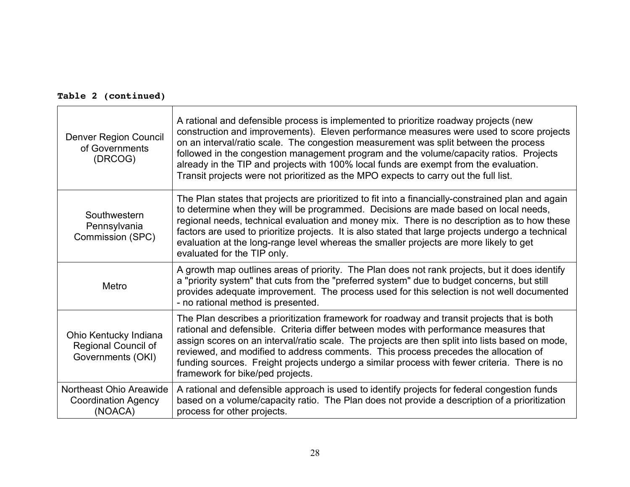| <b>Denver Region Council</b><br>of Governments<br>(DRCOG)         | A rational and defensible process is implemented to prioritize roadway projects (new<br>construction and improvements). Eleven performance measures were used to score projects<br>on an interval/ratio scale. The congestion measurement was split between the process<br>followed in the congestion management program and the volume/capacity ratios. Projects<br>already in the TIP and projects with 100% local funds are exempt from the evaluation.<br>Transit projects were not prioritized as the MPO expects to carry out the full list. |
|-------------------------------------------------------------------|----------------------------------------------------------------------------------------------------------------------------------------------------------------------------------------------------------------------------------------------------------------------------------------------------------------------------------------------------------------------------------------------------------------------------------------------------------------------------------------------------------------------------------------------------|
| Southwestern<br>Pennsylvania<br>Commission (SPC)                  | The Plan states that projects are prioritized to fit into a financially-constrained plan and again<br>to determine when they will be programmed. Decisions are made based on local needs,<br>regional needs, technical evaluation and money mix. There is no description as to how these<br>factors are used to prioritize projects. It is also stated that large projects undergo a technical<br>evaluation at the long-range level whereas the smaller projects are more likely to get<br>evaluated for the TIP only.                            |
| Metro                                                             | A growth map outlines areas of priority. The Plan does not rank projects, but it does identify<br>a "priority system" that cuts from the "preferred system" due to budget concerns, but still<br>provides adequate improvement. The process used for this selection is not well documented<br>- no rational method is presented.                                                                                                                                                                                                                   |
| Ohio Kentucky Indiana<br>Regional Council of<br>Governments (OKI) | The Plan describes a prioritization framework for roadway and transit projects that is both<br>rational and defensible. Criteria differ between modes with performance measures that<br>assign scores on an interval/ratio scale. The projects are then split into lists based on mode,<br>reviewed, and modified to address comments. This process precedes the allocation of<br>funding sources. Freight projects undergo a similar process with fewer criteria. There is no<br>framework for bike/ped projects.                                 |
| Northeast Ohio Areawide<br><b>Coordination Agency</b><br>(NOACA)  | A rational and defensible approach is used to identify projects for federal congestion funds<br>based on a volume/capacity ratio. The Plan does not provide a description of a prioritization<br>process for other projects.                                                                                                                                                                                                                                                                                                                       |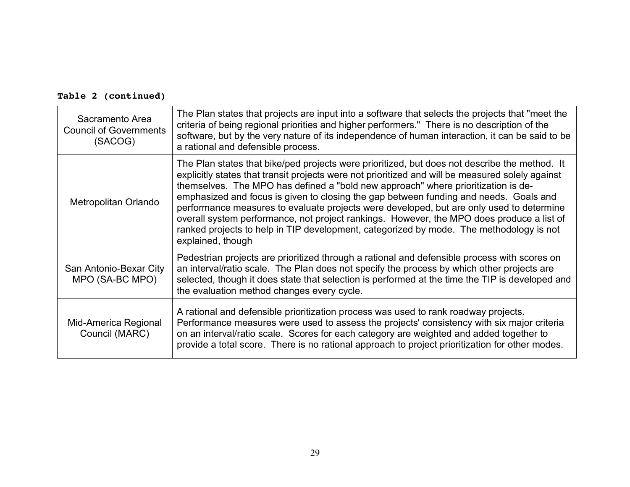|  | Table 2 (continued) |
|--|---------------------|
|--|---------------------|

| Sacramento Area<br><b>Council of Governments</b><br>(SACOG) | The Plan states that projects are input into a software that selects the projects that "meet the<br>criteria of being regional priorities and higher performers." There is no description of the<br>software, but by the very nature of its independence of human interaction, it can be said to be<br>a rational and defensible process.                                                                                                                                                                                                                                                                                                                                                |
|-------------------------------------------------------------|------------------------------------------------------------------------------------------------------------------------------------------------------------------------------------------------------------------------------------------------------------------------------------------------------------------------------------------------------------------------------------------------------------------------------------------------------------------------------------------------------------------------------------------------------------------------------------------------------------------------------------------------------------------------------------------|
| Metropolitan Orlando                                        | The Plan states that bike/ped projects were prioritized, but does not describe the method. It<br>explicitly states that transit projects were not prioritized and will be measured solely against<br>themselves. The MPO has defined a "bold new approach" where prioritization is de-<br>emphasized and focus is given to closing the gap between funding and needs. Goals and<br>performance measures to evaluate projects were developed, but are only used to determine<br>overall system performance, not project rankings. However, the MPO does produce a list of<br>ranked projects to help in TIP development, categorized by mode. The methodology is not<br>explained, though |
| San Antonio-Bexar City<br>MPO (SA-BC MPO)                   | Pedestrian projects are prioritized through a rational and defensible process with scores on<br>an interval/ratio scale. The Plan does not specify the process by which other projects are<br>selected, though it does state that selection is performed at the time the TIP is developed and<br>the evaluation method changes every cycle.                                                                                                                                                                                                                                                                                                                                              |
| Mid-America Regional<br>Council (MARC)                      | A rational and defensible prioritization process was used to rank roadway projects.<br>Performance measures were used to assess the projects' consistency with six major criteria<br>on an interval/ratio scale. Scores for each category are weighted and added together to<br>provide a total score. There is no rational approach to project prioritization for other modes.                                                                                                                                                                                                                                                                                                          |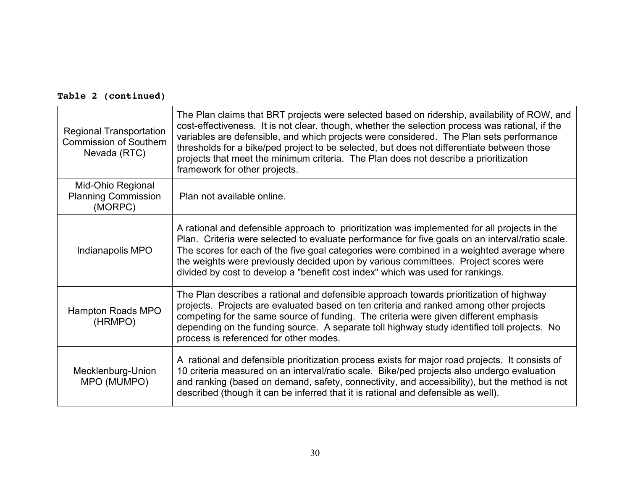| <b>Regional Transportation</b><br><b>Commission of Southern</b><br>Nevada (RTC) | The Plan claims that BRT projects were selected based on ridership, availability of ROW, and<br>cost-effectiveness. It is not clear, though, whether the selection process was rational, if the<br>variables are defensible, and which projects were considered. The Plan sets performance<br>thresholds for a bike/ped project to be selected, but does not differentiate between those<br>projects that meet the minimum criteria. The Plan does not describe a prioritization<br>framework for other projects. |
|---------------------------------------------------------------------------------|-------------------------------------------------------------------------------------------------------------------------------------------------------------------------------------------------------------------------------------------------------------------------------------------------------------------------------------------------------------------------------------------------------------------------------------------------------------------------------------------------------------------|
| Mid-Ohio Regional<br><b>Planning Commission</b><br>(MORPC)                      | Plan not available online.                                                                                                                                                                                                                                                                                                                                                                                                                                                                                        |
| Indianapolis MPO                                                                | A rational and defensible approach to prioritization was implemented for all projects in the<br>Plan. Criteria were selected to evaluate performance for five goals on an interval/ratio scale.<br>The scores for each of the five goal categories were combined in a weighted average where<br>the weights were previously decided upon by various committees. Project scores were<br>divided by cost to develop a "benefit cost index" which was used for rankings.                                             |
| Hampton Roads MPO<br>(HRMPO)                                                    | The Plan describes a rational and defensible approach towards prioritization of highway<br>projects. Projects are evaluated based on ten criteria and ranked among other projects<br>competing for the same source of funding. The criteria were given different emphasis<br>depending on the funding source. A separate toll highway study identified toll projects. No<br>process is referenced for other modes.                                                                                                |
| Mecklenburg-Union<br>MPO (MUMPO)                                                | A rational and defensible prioritization process exists for major road projects. It consists of<br>10 criteria measured on an interval/ratio scale. Bike/ped projects also undergo evaluation<br>and ranking (based on demand, safety, connectivity, and accessibility), but the method is not<br>described (though it can be inferred that it is rational and defensible as well).                                                                                                                               |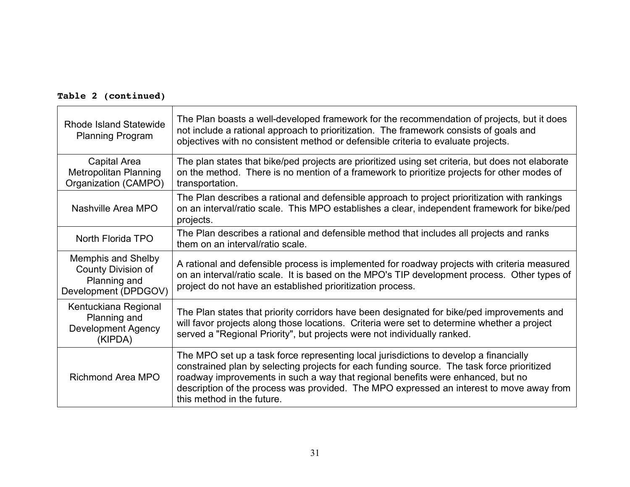| <b>Rhode Island Statewide</b><br><b>Planning Program</b>                         | The Plan boasts a well-developed framework for the recommendation of projects, but it does<br>not include a rational approach to prioritization. The framework consists of goals and<br>objectives with no consistent method or defensible criteria to evaluate projects.                                                                                                                        |
|----------------------------------------------------------------------------------|--------------------------------------------------------------------------------------------------------------------------------------------------------------------------------------------------------------------------------------------------------------------------------------------------------------------------------------------------------------------------------------------------|
| Capital Area<br><b>Metropolitan Planning</b><br>Organization (CAMPO)             | The plan states that bike/ped projects are prioritized using set criteria, but does not elaborate<br>on the method. There is no mention of a framework to prioritize projects for other modes of<br>transportation.                                                                                                                                                                              |
| Nashville Area MPO                                                               | The Plan describes a rational and defensible approach to project prioritization with rankings<br>on an interval/ratio scale. This MPO establishes a clear, independent framework for bike/ped<br>projects.                                                                                                                                                                                       |
| North Florida TPO                                                                | The Plan describes a rational and defensible method that includes all projects and ranks<br>them on an interval/ratio scale.                                                                                                                                                                                                                                                                     |
| Memphis and Shelby<br>County Division of<br>Planning and<br>Development (DPDGOV) | A rational and defensible process is implemented for roadway projects with criteria measured<br>on an interval/ratio scale. It is based on the MPO's TIP development process. Other types of<br>project do not have an established prioritization process.                                                                                                                                       |
| Kentuckiana Regional<br>Planning and<br><b>Development Agency</b><br>(KIPDA)     | The Plan states that priority corridors have been designated for bike/ped improvements and<br>will favor projects along those locations. Criteria were set to determine whether a project<br>served a "Regional Priority", but projects were not individually ranked.                                                                                                                            |
| Richmond Area MPO                                                                | The MPO set up a task force representing local jurisdictions to develop a financially<br>constrained plan by selecting projects for each funding source. The task force prioritized<br>roadway improvements in such a way that regional benefits were enhanced, but no<br>description of the process was provided. The MPO expressed an interest to move away from<br>this method in the future. |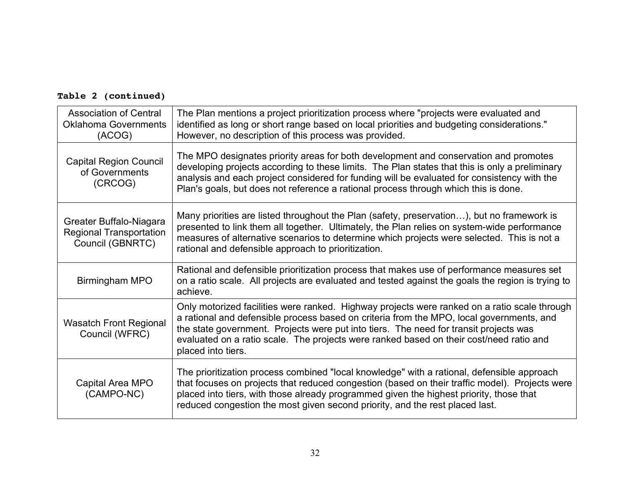| <b>Association of Central</b><br><b>Oklahoma Governments</b><br>(ACOG)        | The Plan mentions a project prioritization process where "projects were evaluated and<br>identified as long or short range based on local priorities and budgeting considerations."<br>However, no description of this process was provided.                                                                                                                                                       |
|-------------------------------------------------------------------------------|----------------------------------------------------------------------------------------------------------------------------------------------------------------------------------------------------------------------------------------------------------------------------------------------------------------------------------------------------------------------------------------------------|
| <b>Capital Region Council</b><br>of Governments<br>(CRCOG)                    | The MPO designates priority areas for both development and conservation and promotes<br>developing projects according to these limits. The Plan states that this is only a preliminary<br>analysis and each project considered for funding will be evaluated for consistency with the<br>Plan's goals, but does not reference a rational process through which this is done.                       |
| Greater Buffalo-Niagara<br><b>Regional Transportation</b><br>Council (GBNRTC) | Many priorities are listed throughout the Plan (safety, preservation), but no framework is<br>presented to link them all together. Ultimately, the Plan relies on system-wide performance<br>measures of alternative scenarios to determine which projects were selected. This is not a<br>rational and defensible approach to prioritization.                                                     |
| Birmingham MPO                                                                | Rational and defensible prioritization process that makes use of performance measures set<br>on a ratio scale. All projects are evaluated and tested against the goals the region is trying to<br>achieve.                                                                                                                                                                                         |
| <b>Wasatch Front Regional</b><br>Council (WFRC)                               | Only motorized facilities were ranked. Highway projects were ranked on a ratio scale through<br>a rational and defensible process based on criteria from the MPO, local governments, and<br>the state government. Projects were put into tiers. The need for transit projects was<br>evaluated on a ratio scale. The projects were ranked based on their cost/need ratio and<br>placed into tiers. |
| Capital Area MPO<br>(CAMPO-NC)                                                | The prioritization process combined "local knowledge" with a rational, defensible approach<br>that focuses on projects that reduced congestion (based on their traffic model). Projects were<br>placed into tiers, with those already programmed given the highest priority, those that<br>reduced congestion the most given second priority, and the rest placed last.                            |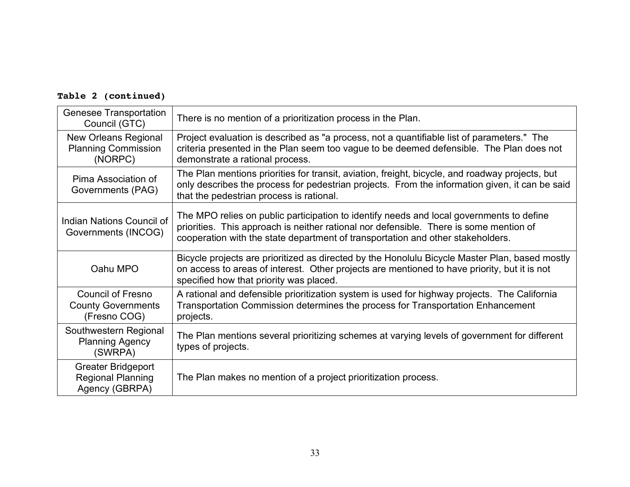| <b>Genesee Transportation</b><br>Council (GTC)                          | There is no mention of a prioritization process in the Plan.                                                                                                                                                                                                          |
|-------------------------------------------------------------------------|-----------------------------------------------------------------------------------------------------------------------------------------------------------------------------------------------------------------------------------------------------------------------|
| New Orleans Regional<br><b>Planning Commission</b><br>(NORPC)           | Project evaluation is described as "a process, not a quantifiable list of parameters." The<br>criteria presented in the Plan seem too vague to be deemed defensible. The Plan does not<br>demonstrate a rational process.                                             |
| Pima Association of<br>Governments (PAG)                                | The Plan mentions priorities for transit, aviation, freight, bicycle, and roadway projects, but<br>only describes the process for pedestrian projects. From the information given, it can be said<br>that the pedestrian process is rational.                         |
| Indian Nations Council of<br>Governments (INCOG)                        | The MPO relies on public participation to identify needs and local governments to define<br>priorities. This approach is neither rational nor defensible. There is some mention of<br>cooperation with the state department of transportation and other stakeholders. |
| Oahu MPO                                                                | Bicycle projects are prioritized as directed by the Honolulu Bicycle Master Plan, based mostly<br>on access to areas of interest. Other projects are mentioned to have priority, but it is not<br>specified how that priority was placed.                             |
| <b>Council of Fresno</b><br><b>County Governments</b><br>(Fresno COG)   | A rational and defensible prioritization system is used for highway projects. The California<br>Transportation Commission determines the process for Transportation Enhancement<br>projects.                                                                          |
| Southwestern Regional<br><b>Planning Agency</b><br>(SWRPA)              | The Plan mentions several prioritizing schemes at varying levels of government for different<br>types of projects.                                                                                                                                                    |
| <b>Greater Bridgeport</b><br><b>Regional Planning</b><br>Agency (GBRPA) | The Plan makes no mention of a project prioritization process.                                                                                                                                                                                                        |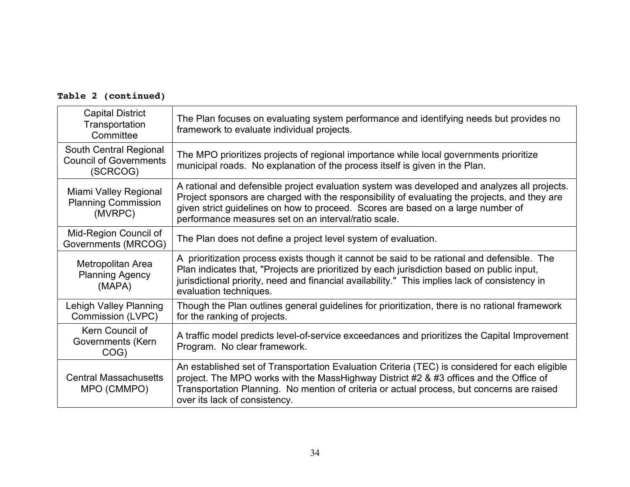| <b>Capital District</b><br>Transportation<br>Committee              | The Plan focuses on evaluating system performance and identifying needs but provides no<br>framework to evaluate individual projects.                                                                                                                                                                                                     |
|---------------------------------------------------------------------|-------------------------------------------------------------------------------------------------------------------------------------------------------------------------------------------------------------------------------------------------------------------------------------------------------------------------------------------|
| South Central Regional<br><b>Council of Governments</b><br>(SCRCOG) | The MPO prioritizes projects of regional importance while local governments prioritize<br>municipal roads. No explanation of the process itself is given in the Plan.                                                                                                                                                                     |
| Miami Valley Regional<br><b>Planning Commission</b><br>(MVRPC)      | A rational and defensible project evaluation system was developed and analyzes all projects.<br>Project sponsors are charged with the responsibility of evaluating the projects, and they are<br>given strict guidelines on how to proceed. Scores are based on a large number of<br>performance measures set on an interval/ratio scale. |
| Mid-Region Council of<br>Governments (MRCOG)                        | The Plan does not define a project level system of evaluation.                                                                                                                                                                                                                                                                            |
| Metropolitan Area<br><b>Planning Agency</b><br>(MAPA)               | A prioritization process exists though it cannot be said to be rational and defensible. The<br>Plan indicates that, "Projects are prioritized by each jurisdiction based on public input,<br>jurisdictional priority, need and financial availability." This implies lack of consistency in<br>evaluation techniques.                     |
| Lehigh Valley Planning<br>Commission (LVPC)                         | Though the Plan outlines general guidelines for prioritization, there is no rational framework<br>for the ranking of projects.                                                                                                                                                                                                            |
| Kern Council of<br>Governments (Kern<br>COG)                        | A traffic model predicts level-of-service exceedances and prioritizes the Capital Improvement<br>Program. No clear framework.                                                                                                                                                                                                             |
| <b>Central Massachusetts</b><br>MPO (CMMPO)                         | An established set of Transportation Evaluation Criteria (TEC) is considered for each eligible<br>project. The MPO works with the MassHighway District #2 & #3 offices and the Office of<br>Transportation Planning. No mention of criteria or actual process, but concerns are raised<br>over its lack of consistency.                   |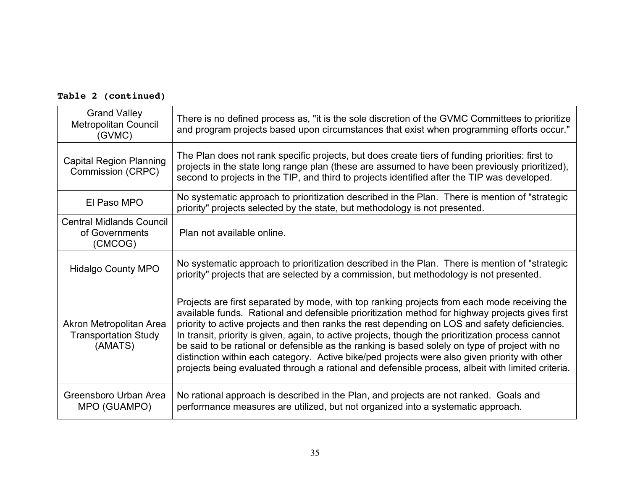| <b>Grand Valley</b><br>Metropolitan Council<br>(GVMC)             | There is no defined process as, "it is the sole discretion of the GVMC Committees to prioritize<br>and program projects based upon circumstances that exist when programming efforts occur."                                                                                                                                                                                                                                                                                                                                                                                                                                                                                                                    |
|-------------------------------------------------------------------|-----------------------------------------------------------------------------------------------------------------------------------------------------------------------------------------------------------------------------------------------------------------------------------------------------------------------------------------------------------------------------------------------------------------------------------------------------------------------------------------------------------------------------------------------------------------------------------------------------------------------------------------------------------------------------------------------------------------|
| <b>Capital Region Planning</b><br>Commission (CRPC)               | The Plan does not rank specific projects, but does create tiers of funding priorities: first to<br>projects in the state long range plan (these are assumed to have been previously prioritized),<br>second to projects in the TIP, and third to projects identified after the TIP was developed.                                                                                                                                                                                                                                                                                                                                                                                                               |
| El Paso MPO                                                       | No systematic approach to prioritization described in the Plan. There is mention of "strategic<br>priority" projects selected by the state, but methodology is not presented.                                                                                                                                                                                                                                                                                                                                                                                                                                                                                                                                   |
| <b>Central Midlands Council</b><br>of Governments<br>(CMCOG)      | Plan not available online.                                                                                                                                                                                                                                                                                                                                                                                                                                                                                                                                                                                                                                                                                      |
| <b>Hidalgo County MPO</b>                                         | No systematic approach to prioritization described in the Plan. There is mention of "strategic"<br>priority" projects that are selected by a commission, but methodology is not presented.                                                                                                                                                                                                                                                                                                                                                                                                                                                                                                                      |
| Akron Metropolitan Area<br><b>Transportation Study</b><br>(AMATS) | Projects are first separated by mode, with top ranking projects from each mode receiving the<br>available funds. Rational and defensible prioritization method for highway projects gives first<br>priority to active projects and then ranks the rest depending on LOS and safety deficiencies.<br>In transit, priority is given, again, to active projects, though the prioritization process cannot<br>be said to be rational or defensible as the ranking is based solely on type of project with no<br>distinction within each category. Active bike/ped projects were also given priority with other<br>projects being evaluated through a rational and defensible process, albeit with limited criteria. |
| Greensboro Urban Area<br>MPO (GUAMPO)                             | No rational approach is described in the Plan, and projects are not ranked. Goals and<br>performance measures are utilized, but not organized into a systematic approach.                                                                                                                                                                                                                                                                                                                                                                                                                                                                                                                                       |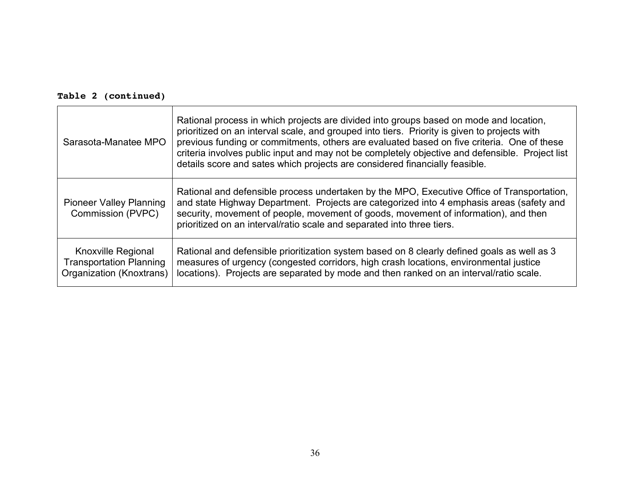| Sarasota-Manatee MPO                                                             | Rational process in which projects are divided into groups based on mode and location,<br>prioritized on an interval scale, and grouped into tiers. Priority is given to projects with<br>previous funding or commitments, others are evaluated based on five criteria. One of these<br>criteria involves public input and may not be completely objective and defensible. Project list<br>details score and sates which projects are considered financially feasible. |
|----------------------------------------------------------------------------------|------------------------------------------------------------------------------------------------------------------------------------------------------------------------------------------------------------------------------------------------------------------------------------------------------------------------------------------------------------------------------------------------------------------------------------------------------------------------|
| <b>Pioneer Valley Planning</b><br>Commission (PVPC)                              | Rational and defensible process undertaken by the MPO, Executive Office of Transportation,<br>and state Highway Department. Projects are categorized into 4 emphasis areas (safety and<br>security, movement of people, movement of goods, movement of information), and then<br>prioritized on an interval/ratio scale and separated into three tiers.                                                                                                                |
| Knoxville Regional<br><b>Transportation Planning</b><br>Organization (Knoxtrans) | Rational and defensible prioritization system based on 8 clearly defined goals as well as 3<br>measures of urgency (congested corridors, high crash locations, environmental justice<br>locations). Projects are separated by mode and then ranked on an interval/ratio scale.                                                                                                                                                                                         |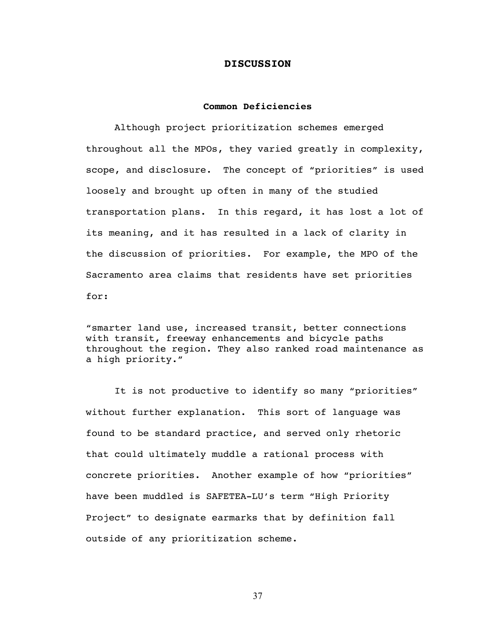### **DISCUSSION**

### **Common Deficiencies**

Although project prioritization schemes emerged throughout all the MPOs, they varied greatly in complexity, scope, and disclosure. The concept of "priorities" is used loosely and brought up often in many of the studied transportation plans. In this regard, it has lost a lot of its meaning, and it has resulted in a lack of clarity in the discussion of priorities. For example, the MPO of the Sacramento area claims that residents have set priorities for:

"smarter land use, increased transit, better connections with transit, freeway enhancements and bicycle paths throughout the region. They also ranked road maintenance as a high priority."

It is not productive to identify so many "priorities" without further explanation. This sort of language was found to be standard practice, and served only rhetoric that could ultimately muddle a rational process with concrete priorities. Another example of how "priorities" have been muddled is SAFETEA-LU's term "High Priority Project" to designate earmarks that by definition fall outside of any prioritization scheme.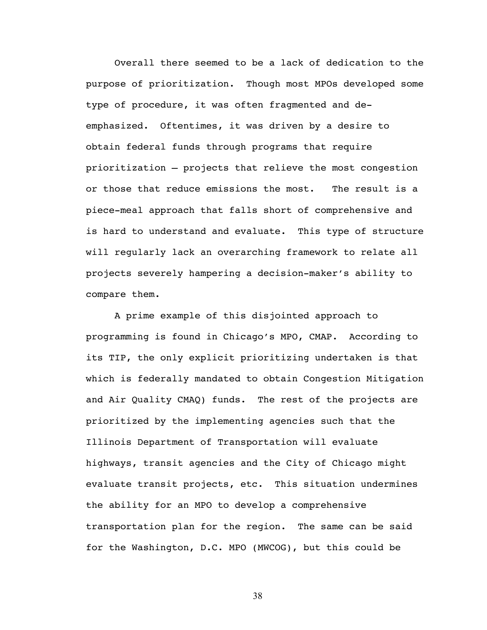Overall there seemed to be a lack of dedication to the purpose of prioritization. Though most MPOs developed some type of procedure, it was often fragmented and deemphasized. Oftentimes, it was driven by a desire to obtain federal funds through programs that require prioritization – projects that relieve the most congestion or those that reduce emissions the most. The result is a piece-meal approach that falls short of comprehensive and is hard to understand and evaluate. This type of structure will regularly lack an overarching framework to relate all projects severely hampering a decision-maker's ability to compare them.

A prime example of this disjointed approach to programming is found in Chicago's MPO, CMAP. According to its TIP, the only explicit prioritizing undertaken is that which is federally mandated to obtain Congestion Mitigation and Air Quality CMAQ) funds. The rest of the projects are prioritized by the implementing agencies such that the Illinois Department of Transportation will evaluate highways, transit agencies and the City of Chicago might evaluate transit projects, etc. This situation undermines the ability for an MPO to develop a comprehensive transportation plan for the region. The same can be said for the Washington, D.C. MPO (MWCOG), but this could be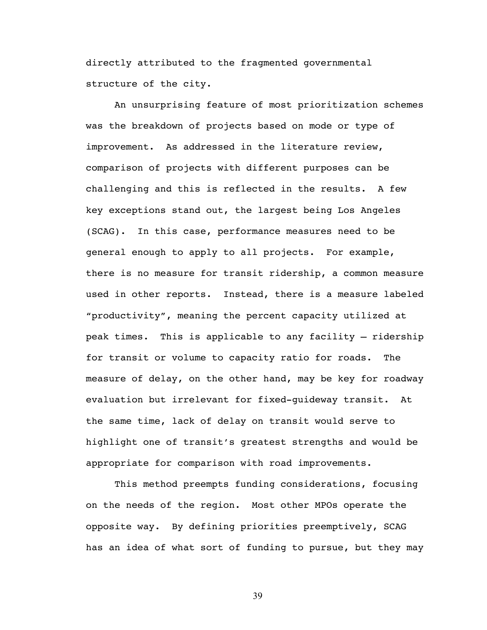directly attributed to the fragmented governmental structure of the city.

An unsurprising feature of most prioritization schemes was the breakdown of projects based on mode or type of improvement. As addressed in the literature review, comparison of projects with different purposes can be challenging and this is reflected in the results. A few key exceptions stand out, the largest being Los Angeles (SCAG). In this case, performance measures need to be general enough to apply to all projects. For example, there is no measure for transit ridership, a common measure used in other reports. Instead, there is a measure labeled "productivity", meaning the percent capacity utilized at peak times. This is applicable to any facility – ridership for transit or volume to capacity ratio for roads. The measure of delay, on the other hand, may be key for roadway evaluation but irrelevant for fixed-guideway transit. At the same time, lack of delay on transit would serve to highlight one of transit's greatest strengths and would be appropriate for comparison with road improvements.

This method preempts funding considerations, focusing on the needs of the region. Most other MPOs operate the opposite way. By defining priorities preemptively, SCAG has an idea of what sort of funding to pursue, but they may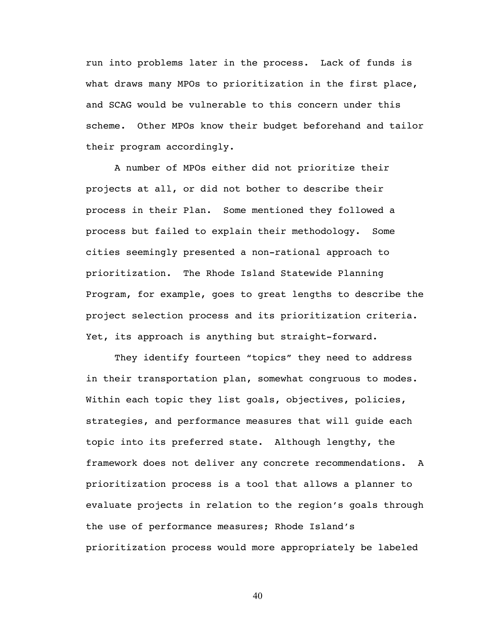run into problems later in the process. Lack of funds is what draws many MPOs to prioritization in the first place, and SCAG would be vulnerable to this concern under this scheme. Other MPOs know their budget beforehand and tailor their program accordingly.

A number of MPOs either did not prioritize their projects at all, or did not bother to describe their process in their Plan. Some mentioned they followed a process but failed to explain their methodology. Some cities seemingly presented a non-rational approach to prioritization. The Rhode Island Statewide Planning Program, for example, goes to great lengths to describe the project selection process and its prioritization criteria. Yet, its approach is anything but straight-forward.

They identify fourteen "topics" they need to address in their transportation plan, somewhat congruous to modes. Within each topic they list goals, objectives, policies, strategies, and performance measures that will guide each topic into its preferred state. Although lengthy, the framework does not deliver any concrete recommendations. A prioritization process is a tool that allows a planner to evaluate projects in relation to the region's goals through the use of performance measures; Rhode Island's prioritization process would more appropriately be labeled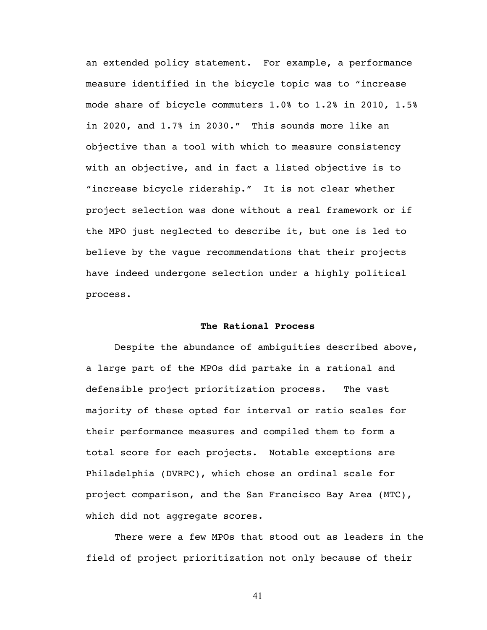an extended policy statement. For example, a performance measure identified in the bicycle topic was to "increase mode share of bicycle commuters 1.0% to 1.2% in 2010, 1.5% in 2020, and 1.7% in 2030." This sounds more like an objective than a tool with which to measure consistency with an objective, and in fact a listed objective is to "increase bicycle ridership." It is not clear whether project selection was done without a real framework or if the MPO just neglected to describe it, but one is led to believe by the vague recommendations that their projects have indeed undergone selection under a highly political process.

### **The Rational Process**

Despite the abundance of ambiguities described above, a large part of the MPOs did partake in a rational and defensible project prioritization process. The vast majority of these opted for interval or ratio scales for their performance measures and compiled them to form a total score for each projects. Notable exceptions are Philadelphia (DVRPC), which chose an ordinal scale for project comparison, and the San Francisco Bay Area (MTC), which did not aggregate scores.

There were a few MPOs that stood out as leaders in the field of project prioritization not only because of their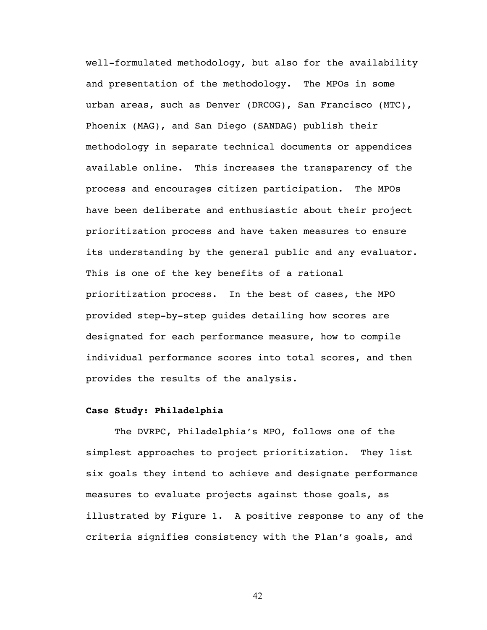well-formulated methodology, but also for the availability and presentation of the methodology. The MPOs in some urban areas, such as Denver (DRCOG), San Francisco (MTC), Phoenix (MAG), and San Diego (SANDAG) publish their methodology in separate technical documents or appendices available online. This increases the transparency of the process and encourages citizen participation. The MPOs have been deliberate and enthusiastic about their project prioritization process and have taken measures to ensure its understanding by the general public and any evaluator. This is one of the key benefits of a rational prioritization process. In the best of cases, the MPO provided step-by-step guides detailing how scores are designated for each performance measure, how to compile individual performance scores into total scores, and then provides the results of the analysis.

### **Case Study: Philadelphia**

The DVRPC, Philadelphia's MPO, follows one of the simplest approaches to project prioritization. They list six goals they intend to achieve and designate performance measures to evaluate projects against those goals, as illustrated by Figure 1. A positive response to any of the criteria signifies consistency with the Plan's goals, and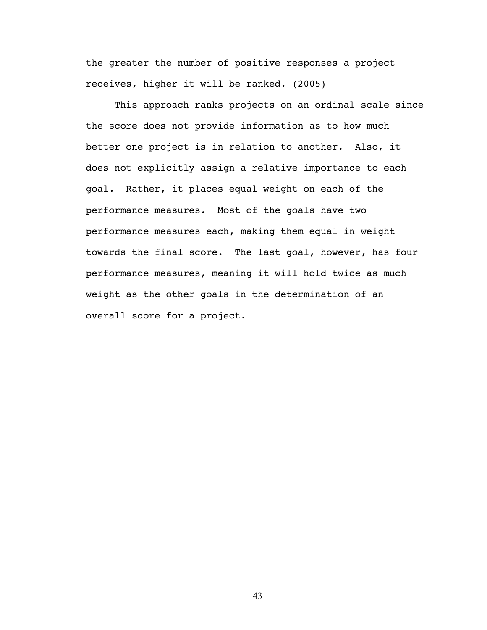the greater the number of positive responses a project receives, higher it will be ranked. (2005)

This approach ranks projects on an ordinal scale since the score does not provide information as to how much better one project is in relation to another. Also, it does not explicitly assign a relative importance to each goal. Rather, it places equal weight on each of the performance measures. Most of the goals have two performance measures each, making them equal in weight towards the final score. The last goal, however, has four performance measures, meaning it will hold twice as much weight as the other goals in the determination of an overall score for a project.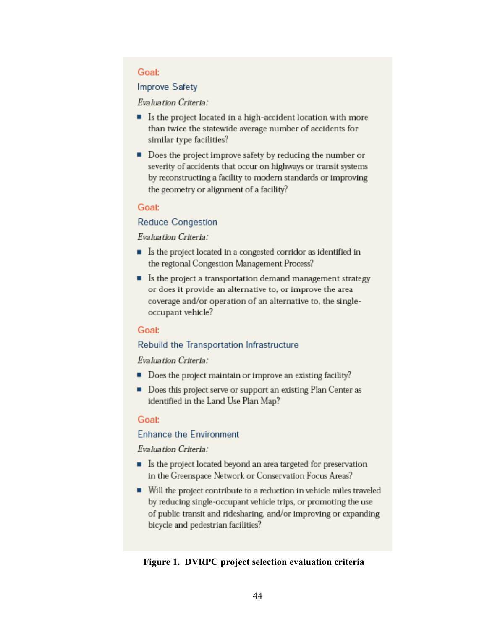### Goal:

### **Improve Safety**

### Evaluation Criteria:

- Is the project located in a high-accident location with more than twice the statewide average number of accidents for similar type facilities?
- Does the project improve safety by reducing the number or severity of accidents that occur on highways or transit systems by reconstructing a facility to modern standards or improving the geometry or alignment of a facility?

### Goal:

### **Reduce Congestion**

### Evaluation Criteria:

- Is the project located in a congested corridor as identified in the regional Congestion Management Process?
- $\blacksquare$  Is the project a transportation demand management strategy or does it provide an alternative to, or improve the area coverage and/or operation of an alternative to, the singleoccupant vehicle?

#### Goal:

### Rebuild the Transportation Infrastructure

### Evaluation Criteria:

- $\blacksquare$  Does the project maintain or improve an existing facility?
- Does this project serve or support an existing Plan Center as identified in the Land Use Plan Map?

### Goal:

### **Enhance the Environment**

### Evaluation Criteria:

- Is the project located beyond an area targeted for preservation in the Greenspace Network or Conservation Focus Areas?
- Will the project contribute to a reduction in vehicle miles traveled by reducing single-occupant vehicle trips, or promoting the use of public transit and ridesharing, and/or improving or expanding bicycle and pedestrian facilities?

### **Figure 1. DVRPC project selection evaluation criteria**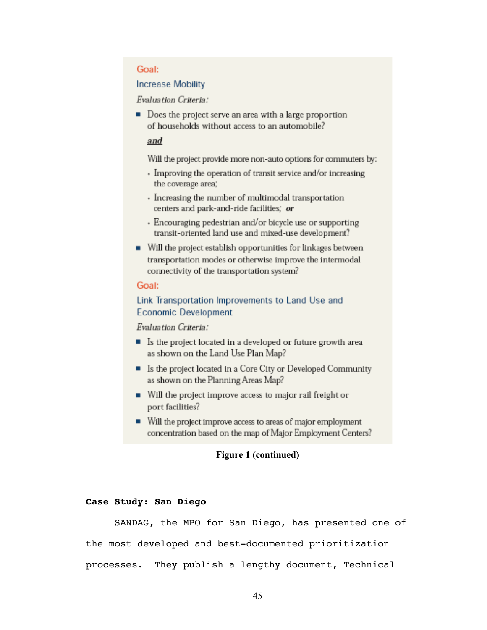### Goal:

### **Increase Mobility**

Evaluation Criteria:

■ Does the project serve an area with a large proportion of households without access to an automobile?

### and

Will the project provide more non-auto options for commuters by:

- Improving the operation of transit service and/or increasing the coverage area;
- Increasing the number of multimodal transportation centers and park-and-ride facilities; or
- Encouraging pedestrian and/or bicycle use or supporting transit-oriented land use and mixed-use development?
- Will the project establish opportunities for linkages between transportation modes or otherwise improve the intermodal connectivity of the transportation system?

### Goal:

### Link Transportation Improvements to Land Use and **Economic Development**

Evaluation Criteria:

- Is the project located in a developed or future growth area as shown on the Land Use Plan Map?
- Is the project located in a Core City or Developed Community as shown on the Planning Areas Map?
- Will the project improve access to major rail freight or port facilities?
- Will the project improve access to areas of major employment concentration based on the map of Major Employment Centers?

### **Figure 1 (continued)**

### **Case Study: San Diego**

SANDAG, the MPO for San Diego, has presented one of the most developed and best-documented prioritization processes. They publish a lengthy document, Technical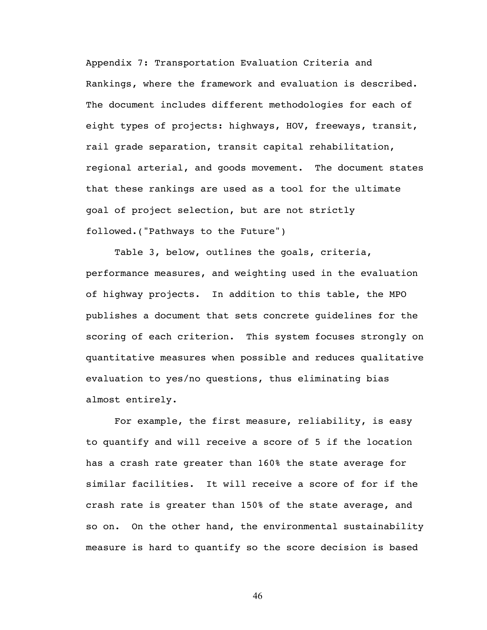Appendix 7: Transportation Evaluation Criteria and Rankings, where the framework and evaluation is described. The document includes different methodologies for each of eight types of projects: highways, HOV, freeways, transit, rail grade separation, transit capital rehabilitation, regional arterial, and goods movement. The document states that these rankings are used as a tool for the ultimate goal of project selection, but are not strictly followed.("Pathways to the Future")

Table 3, below, outlines the goals, criteria, performance measures, and weighting used in the evaluation of highway projects. In addition to this table, the MPO publishes a document that sets concrete guidelines for the scoring of each criterion. This system focuses strongly on quantitative measures when possible and reduces qualitative evaluation to yes/no questions, thus eliminating bias almost entirely.

For example, the first measure, reliability, is easy to quantify and will receive a score of 5 if the location has a crash rate greater than 160% the state average for similar facilities. It will receive a score of for if the crash rate is greater than 150% of the state average, and so on. On the other hand, the environmental sustainability measure is hard to quantify so the score decision is based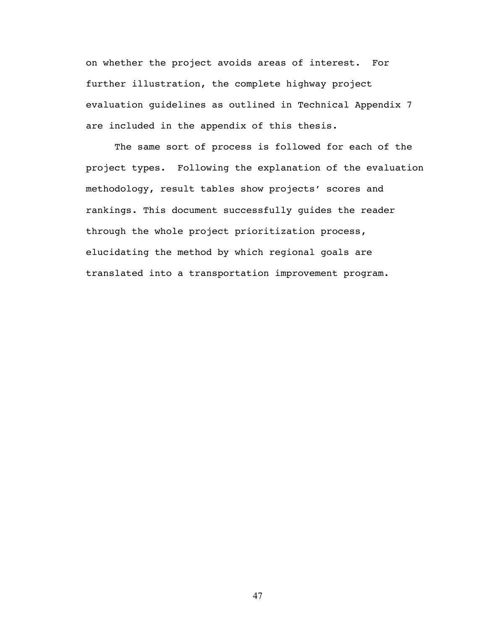on whether the project avoids areas of interest. For further illustration, the complete highway project evaluation guidelines as outlined in Technical Appendix 7 are included in the appendix of this thesis.

The same sort of process is followed for each of the project types. Following the explanation of the evaluation methodology, result tables show projects' scores and rankings. This document successfully guides the reader through the whole project prioritization process, elucidating the method by which regional goals are translated into a transportation improvement program.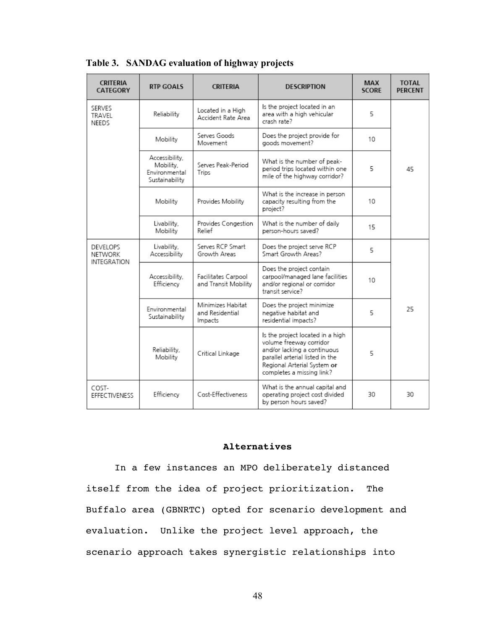| <b>CRITERIA</b><br><b>CATEGORY</b>               | <b>RTP GOALS</b>                                               | <b>CRITERIA</b>                                 | <b>DESCRIPTION</b>                                                                                                                                                                        | MAX<br><b>SCORE</b> | <b>TOTAL</b><br><b>PERCENT</b> |
|--------------------------------------------------|----------------------------------------------------------------|-------------------------------------------------|-------------------------------------------------------------------------------------------------------------------------------------------------------------------------------------------|---------------------|--------------------------------|
| SERVES<br>TRAVEL<br>NEEDS                        | Reliability                                                    | Located in a High<br>Accident Rate Area         | Is the project located in an<br>area with a high vehicular<br>crash rate?                                                                                                                 | 5                   |                                |
|                                                  | Mobility                                                       | Serves Goods<br>Movement                        | Does the project provide for<br>goods movement?                                                                                                                                           | 10                  |                                |
|                                                  | Accessibility,<br>Mobility,<br>Environmental<br>Sustainability | Serves Peak-Period<br>Trips                     | What is the number of peak-<br>period trips located within one<br>mile of the highway corridor?                                                                                           | 5.                  | 45                             |
|                                                  | Mobility                                                       | Provides Mobility                               | What is the increase in person<br>capacity resulting from the<br>project?                                                                                                                 | 10                  |                                |
|                                                  | Livability,<br>Mobility                                        | Provides Congestion<br>Relief                   | What is the number of daily<br>berson-hours saved?                                                                                                                                        | 15                  |                                |
| <b>DEVELOPS</b><br>NETWORK<br><b>INTEGRATION</b> | Livability,<br>Accessibility                                   | Serves RCP Smart<br>Growth Areas                | Does the project serve RCP<br>Smart Growth Areas?                                                                                                                                         | 5                   |                                |
|                                                  | Accessibility,<br>Efficiency                                   | Facilitates Carpool<br>and Transit Mobility     | Does the project contain<br>carbool/manaded lane facilities<br>and/or regional or corridor<br>transit service?                                                                            | 10 <sup>1</sup>     |                                |
|                                                  | Environmental<br>Sustainability                                | Minimizes Habitat<br>and Residential<br>Impacts | Does the project minimize<br>negative habitat and<br>residential impacts?                                                                                                                 | 5                   | 25                             |
|                                                  | Reliability,<br>Mobility                                       | Critical Linkage                                | Is the project located in a high<br>volume freeway corridor<br>and/or lacking a continuous<br>parallel arterial listed in the<br>Regional Arterial System or<br>completes a missing link? | 5                   |                                |
| COST-<br><b>EFFECTIVENESS</b>                    | Efficiency                                                     | Cost-Effectiveness                              | What is the annual capital and<br>operating project cost divided<br>by person hours saved?                                                                                                | 30                  | 30                             |

**Table 3. SANDAG evaluation of highway projects**

### **Alternatives**

In a few instances an MPO deliberately distanced itself from the idea of project prioritization. The Buffalo area (GBNRTC) opted for scenario development and evaluation. Unlike the project level approach, the scenario approach takes synergistic relationships into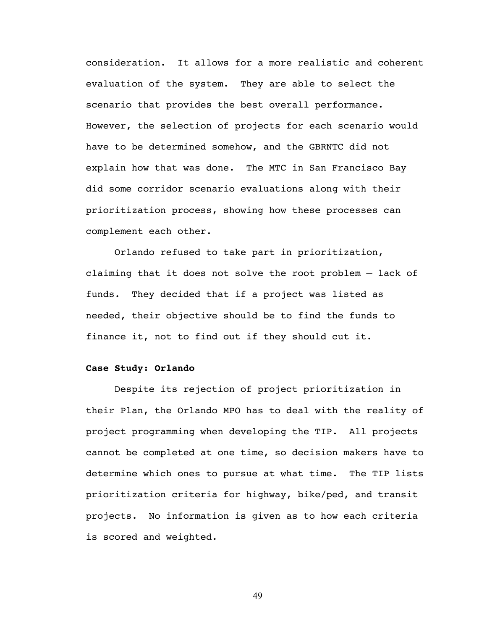consideration. It allows for a more realistic and coherent evaluation of the system. They are able to select the scenario that provides the best overall performance. However, the selection of projects for each scenario would have to be determined somehow, and the GBRNTC did not explain how that was done. The MTC in San Francisco Bay did some corridor scenario evaluations along with their prioritization process, showing how these processes can complement each other.

Orlando refused to take part in prioritization, claiming that it does not solve the root problem – lack of funds. They decided that if a project was listed as needed, their objective should be to find the funds to finance it, not to find out if they should cut it.

### **Case Study: Orlando**

Despite its rejection of project prioritization in their Plan, the Orlando MPO has to deal with the reality of project programming when developing the TIP. All projects cannot be completed at one time, so decision makers have to determine which ones to pursue at what time. The TIP lists prioritization criteria for highway, bike/ped, and transit projects. No information is given as to how each criteria is scored and weighted.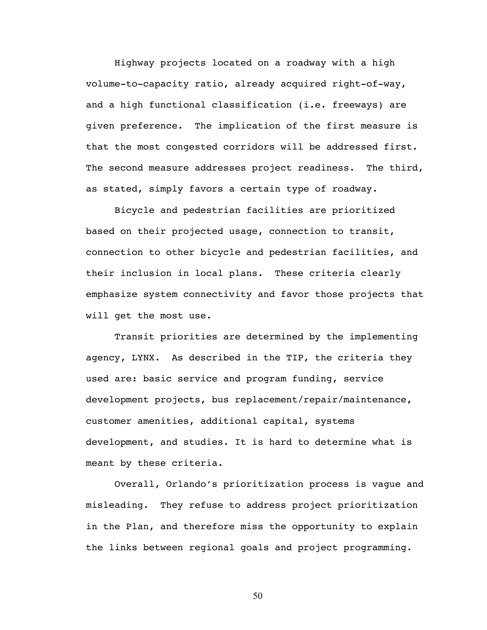Highway projects located on a roadway with a high volume-to-capacity ratio, already acquired right-of-way, and a high functional classification (i.e. freeways) are given preference. The implication of the first measure is that the most congested corridors will be addressed first. The second measure addresses project readiness. The third, as stated, simply favors a certain type of roadway.

Bicycle and pedestrian facilities are prioritized based on their projected usage, connection to transit, connection to other bicycle and pedestrian facilities, and their inclusion in local plans. These criteria clearly emphasize system connectivity and favor those projects that will get the most use.

Transit priorities are determined by the implementing agency, LYNX. As described in the TIP, the criteria they used are: basic service and program funding, service development projects, bus replacement/repair/maintenance, customer amenities, additional capital, systems development, and studies. It is hard to determine what is meant by these criteria.

Overall, Orlando's prioritization process is vague and misleading. They refuse to address project prioritization in the Plan, and therefore miss the opportunity to explain the links between regional goals and project programming.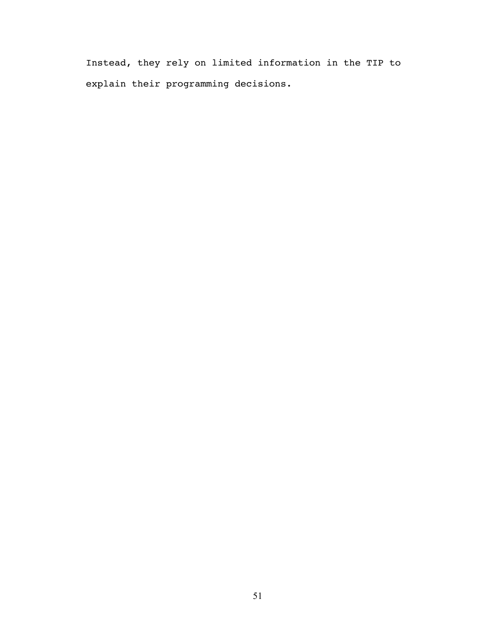Instead, they rely on limited information in the TIP to explain their programming decisions.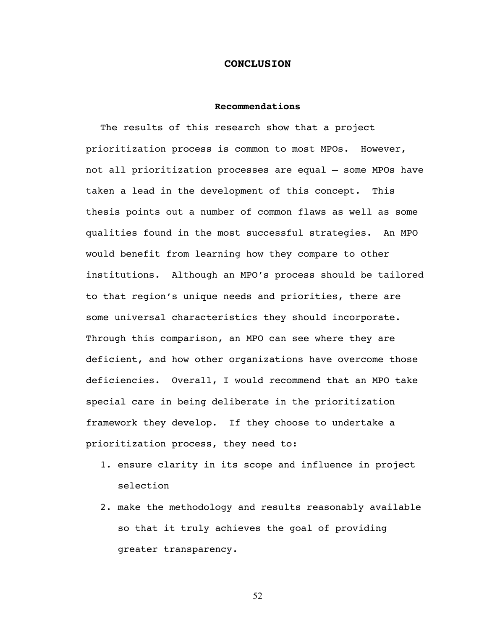### **CONCLUSION**

### **Recommendations**

The results of this research show that a project prioritization process is common to most MPOs. However, not all prioritization processes are equal – some MPOs have taken a lead in the development of this concept. This thesis points out a number of common flaws as well as some qualities found in the most successful strategies. An MPO would benefit from learning how they compare to other institutions. Although an MPO's process should be tailored to that region's unique needs and priorities, there are some universal characteristics they should incorporate. Through this comparison, an MPO can see where they are deficient, and how other organizations have overcome those deficiencies. Overall, I would recommend that an MPO take special care in being deliberate in the prioritization framework they develop. If they choose to undertake a prioritization process, they need to:

- 1. ensure clarity in its scope and influence in project selection
- 2. make the methodology and results reasonably available so that it truly achieves the goal of providing greater transparency.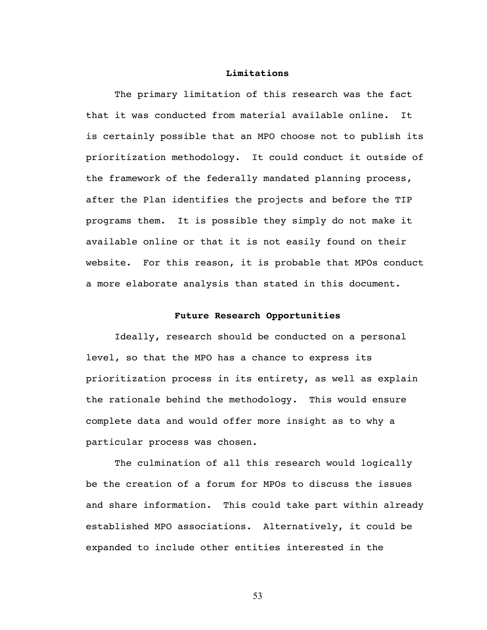### **Limitations**

The primary limitation of this research was the fact that it was conducted from material available online. It is certainly possible that an MPO choose not to publish its prioritization methodology. It could conduct it outside of the framework of the federally mandated planning process, after the Plan identifies the projects and before the TIP programs them. It is possible they simply do not make it available online or that it is not easily found on their website. For this reason, it is probable that MPOs conduct a more elaborate analysis than stated in this document.

### **Future Research Opportunities**

Ideally, research should be conducted on a personal level, so that the MPO has a chance to express its prioritization process in its entirety, as well as explain the rationale behind the methodology. This would ensure complete data and would offer more insight as to why a particular process was chosen.

The culmination of all this research would logically be the creation of a forum for MPOs to discuss the issues and share information. This could take part within already established MPO associations. Alternatively, it could be expanded to include other entities interested in the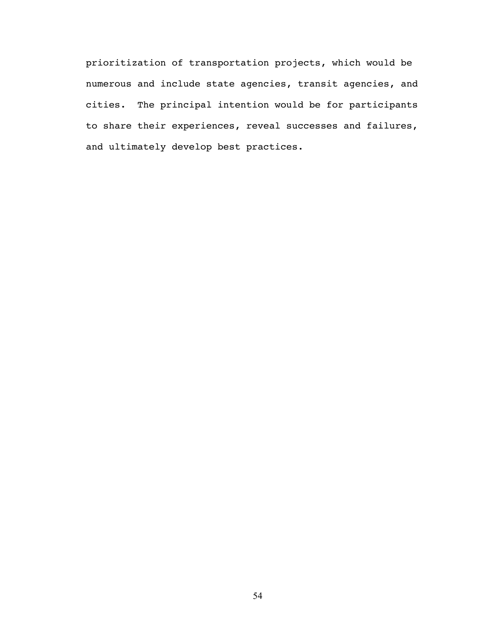prioritization of transportation projects, which would be numerous and include state agencies, transit agencies, and cities. The principal intention would be for participants to share their experiences, reveal successes and failures, and ultimately develop best practices.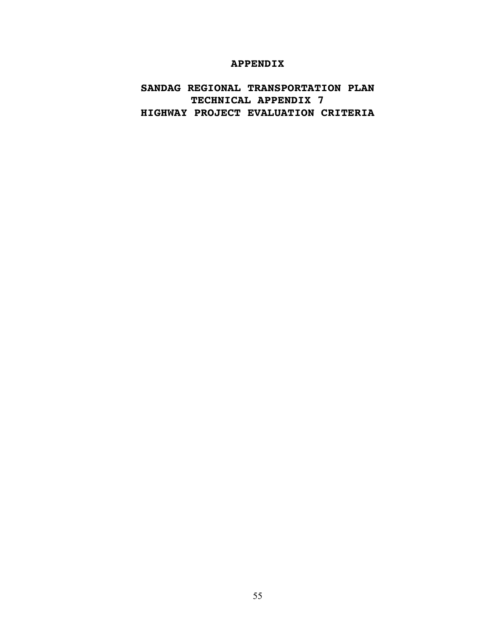### **APPENDIX**

### **SANDAG REGIONAL TRANSPORTATION PLAN TECHNICAL APPENDIX 7 HIGHWAY PROJECT EVALUATION CRITERIA**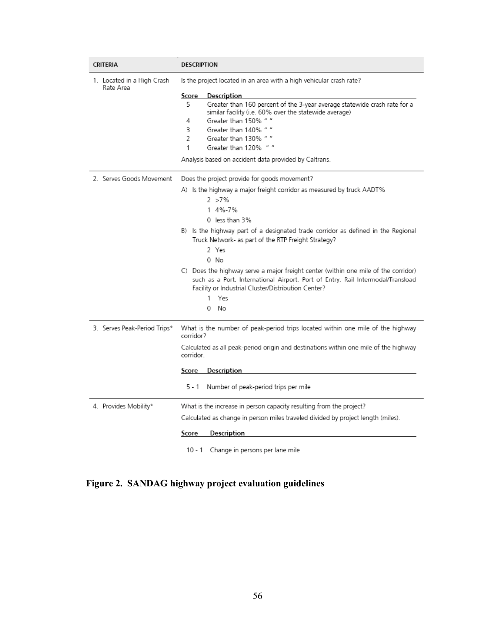| <b>CRITERIA</b>                         | DESCRIPTION                                  |                                                                                                                                                                                                                              |
|-----------------------------------------|----------------------------------------------|------------------------------------------------------------------------------------------------------------------------------------------------------------------------------------------------------------------------------|
| 1. Located in a High Crash<br>Rate Area |                                              | Is the project located in an area with a high vehicular crash rate?                                                                                                                                                          |
|                                         | Score                                        | <b>Description</b>                                                                                                                                                                                                           |
|                                         | 5                                            | Greater than 160 percent of the 3-year average statewide crash rate for a<br>similar facility (i.e. 60% over the statewide average)                                                                                          |
|                                         | 4                                            | Greater than 150% " "                                                                                                                                                                                                        |
|                                         | 3                                            | Greater than 140% " "                                                                                                                                                                                                        |
|                                         | 2                                            | Greater than 130% " "                                                                                                                                                                                                        |
|                                         | 1                                            | Greater than 120% " "                                                                                                                                                                                                        |
|                                         |                                              | Analysis based on accident data provided by Caltrans.                                                                                                                                                                        |
| 2. Serves Goods Movement                | Does the project provide for goods movement? |                                                                                                                                                                                                                              |
|                                         |                                              | A)Is the highway a major freight corridor as measured by truck AADT%                                                                                                                                                         |
|                                         |                                              | $2 > 7\%$                                                                                                                                                                                                                    |
|                                         |                                              | 1 4%-7%                                                                                                                                                                                                                      |
|                                         |                                              | 0 less than 3%                                                                                                                                                                                                               |
|                                         |                                              | B) Is the highway part of a designated trade corridor as defined in the Regional<br>Truck Network- as part of the RTP Freight Strategy?                                                                                      |
|                                         |                                              | 2 Yes                                                                                                                                                                                                                        |
|                                         |                                              | 0 No                                                                                                                                                                                                                         |
|                                         |                                              | C) Does the highway serve a major freight center (within one mile of the corridor)<br>such as a Port, International Airport, Port of Entry, Rail Intermodal/Transload<br>Facility or Industrial Cluster/Distribution Center? |
|                                         |                                              | 1<br>Yes                                                                                                                                                                                                                     |
|                                         |                                              | 0<br>No                                                                                                                                                                                                                      |
| 3. Serves Peak-Period Trips*            | corridor?                                    | What is the number of peak-period trips located within one mile of the highway                                                                                                                                               |
|                                         | corridor.                                    | Calculated as all peak-period origin and destinations within one mile of the highway                                                                                                                                         |
|                                         | Score                                        | <b>Description</b>                                                                                                                                                                                                           |
|                                         | 5 - 1                                        | Number of peak-period trips per mile                                                                                                                                                                                         |
| 4. Provides Mobility*                   |                                              | What is the increase in person capacity resulting from the project?                                                                                                                                                          |
|                                         |                                              | Calculated as change in person miles traveled divided by project length (miles).                                                                                                                                             |
|                                         | Score                                        | Description                                                                                                                                                                                                                  |
|                                         |                                              | 10 - 1 Change in persons per lane mile                                                                                                                                                                                       |

**Figure 2. SANDAG highway project evaluation guidelines**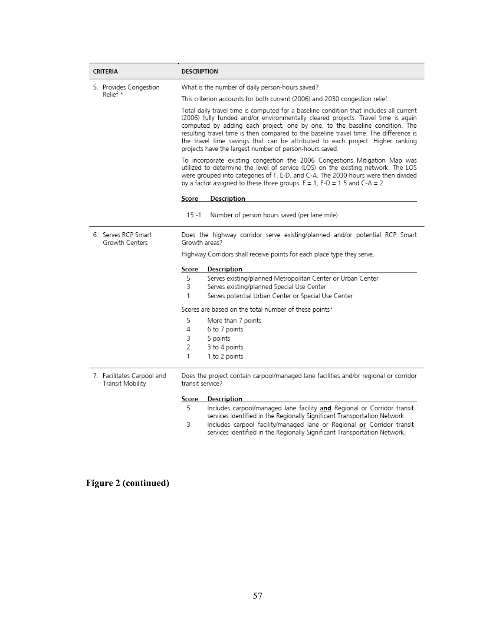| <b>CRITERIA</b>                                | <b>DESCRIPTION</b> |                                                                                                                                                                                                                                                                                                                                                                                                                                                                                                  |  |  |  |
|------------------------------------------------|--------------------|--------------------------------------------------------------------------------------------------------------------------------------------------------------------------------------------------------------------------------------------------------------------------------------------------------------------------------------------------------------------------------------------------------------------------------------------------------------------------------------------------|--|--|--|
| 5. Provides Congestion<br>Relief *             |                    | What is the number of daily person-hours saved?                                                                                                                                                                                                                                                                                                                                                                                                                                                  |  |  |  |
|                                                |                    | This criterion accounts for both current (2006) and 2030 congestion relief.                                                                                                                                                                                                                                                                                                                                                                                                                      |  |  |  |
|                                                |                    | Total daily travel time is computed for a baseline condition that includes all current<br>(2006) fully funded and/or environmentally cleared projects. Travel time is again<br>computed by adding each project, one by one, to the baseline condition. The<br>resulting travel time is then compared to the baseline travel time. The difference is<br>the travel time savings that can be attributed to each project. Higher ranking<br>projects have the largest number of person-hours saved. |  |  |  |
|                                                |                    | To incorporate existing congestion the 2006 Congestions Mitigation Map was<br>utilized to determine the level of service (LOS) on the existing network. The LOS<br>were grouped into categories of F, E-D, and C-A. The 2030 hours were then divided<br>by a factor assigned to these three groups. $F = 1$ , E-D = 1.5 and C-A = 2.                                                                                                                                                             |  |  |  |
|                                                | Score              | Description                                                                                                                                                                                                                                                                                                                                                                                                                                                                                      |  |  |  |
|                                                |                    |                                                                                                                                                                                                                                                                                                                                                                                                                                                                                                  |  |  |  |
|                                                | 15 - 1             | Number of person hours saved (per lane mile)                                                                                                                                                                                                                                                                                                                                                                                                                                                     |  |  |  |
| 6. Serves RCP Smart<br>Growth Centers          |                    | Does the highway corridor serve existing/planned and/or potential RCP Smart<br>Growth areas?                                                                                                                                                                                                                                                                                                                                                                                                     |  |  |  |
|                                                |                    | Highway Corridors shall receive points for each place type they serve.                                                                                                                                                                                                                                                                                                                                                                                                                           |  |  |  |
|                                                | Score              | Description                                                                                                                                                                                                                                                                                                                                                                                                                                                                                      |  |  |  |
|                                                | 5.                 | Serves existing/planned Metropolitan Center or Urban Center                                                                                                                                                                                                                                                                                                                                                                                                                                      |  |  |  |
|                                                | 3                  | Serves existing/planned Special Use Center                                                                                                                                                                                                                                                                                                                                                                                                                                                       |  |  |  |
|                                                | 1                  | Serves potential Urban Center or Special Use Center                                                                                                                                                                                                                                                                                                                                                                                                                                              |  |  |  |
|                                                |                    | Scores are based on the total number of these points*                                                                                                                                                                                                                                                                                                                                                                                                                                            |  |  |  |
|                                                | 5                  | More than 7 points                                                                                                                                                                                                                                                                                                                                                                                                                                                                               |  |  |  |
|                                                | 4                  | 6 to 7 points                                                                                                                                                                                                                                                                                                                                                                                                                                                                                    |  |  |  |
|                                                | 3                  | 5 points                                                                                                                                                                                                                                                                                                                                                                                                                                                                                         |  |  |  |
|                                                | 2                  | 3 to 4 points                                                                                                                                                                                                                                                                                                                                                                                                                                                                                    |  |  |  |
|                                                | 1                  | 1 to 2 points                                                                                                                                                                                                                                                                                                                                                                                                                                                                                    |  |  |  |
| 7. Facilitates Carpool and<br>Transit Mobility | transit service?   | Does the project contain carpool/managed lane facilities and/or regional or corridor                                                                                                                                                                                                                                                                                                                                                                                                             |  |  |  |
|                                                | Score              | <b>Description</b>                                                                                                                                                                                                                                                                                                                                                                                                                                                                               |  |  |  |
|                                                | 5                  | Includes carpool/managed lane facility and Regional or Corridor transit                                                                                                                                                                                                                                                                                                                                                                                                                          |  |  |  |
|                                                | 3                  | services identified in the Regionally Significant Transportation Network                                                                                                                                                                                                                                                                                                                                                                                                                         |  |  |  |
|                                                |                    | Includes carpool facility/managed lane or Regional or Corridor transit<br>services identified in the Regionally Significant Transportation Network.                                                                                                                                                                                                                                                                                                                                              |  |  |  |

# **Figure 2 (continued)**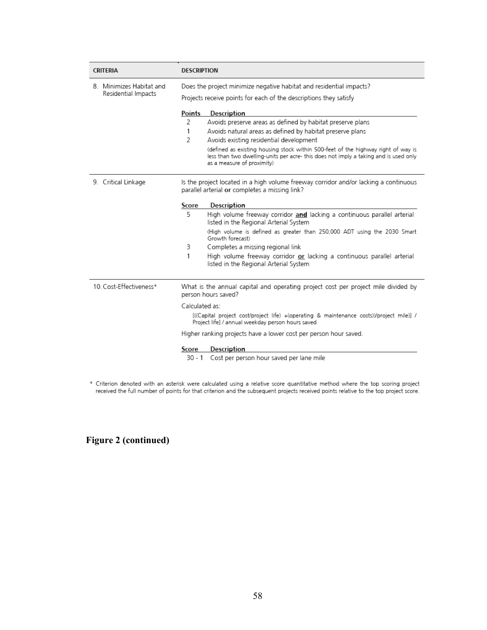| CRITERIA                 | <b>DESCRIPTION</b>                                                                                                                                                                                      |  |  |
|--------------------------|---------------------------------------------------------------------------------------------------------------------------------------------------------------------------------------------------------|--|--|
| 8. Minimizes Habitat and | Does the project minimize negative habitat and residential impacts?                                                                                                                                     |  |  |
| Residential Impacts      | Projects receive points for each of the descriptions they satisfy                                                                                                                                       |  |  |
|                          | Points<br>Description                                                                                                                                                                                   |  |  |
|                          | Avoids preserve areas as defined by habitat preserve plans<br>2                                                                                                                                         |  |  |
|                          | 1<br>Avoids natural areas as defined by habitat preserve plans                                                                                                                                          |  |  |
|                          | $\overline{2}$<br>Avoids existing residential development                                                                                                                                               |  |  |
|                          | (defined as existing housing stock within 500-feet of the highway right of way is<br>less than two dwelling-units per acre- this does not imply a taking and is used only<br>as a measure of proximity) |  |  |
| 9. Critical Linkage      | Is the project located in a high volume freeway corridor and/or lacking a continuous<br>parallel arterial or completes a missing link?                                                                  |  |  |
|                          | Score<br>Description                                                                                                                                                                                    |  |  |
|                          | 5<br>High volume freeway corridor and lacking a continuous parallel arterial<br>listed in the Regional Arterial System                                                                                  |  |  |
|                          | (High volume is defined as greater than 250,000 ADT using the 2030 Smart<br>Growth forecast)                                                                                                            |  |  |
|                          | 3<br>Completes a missing regional link                                                                                                                                                                  |  |  |
|                          | 1<br>High volume freeway corridor or lacking a continuous parallel arterial<br>listed in the Regional Arterial System                                                                                   |  |  |
| 10 Cost-Effectiveness*   | What is the annual capital and operating project cost per project mile divided by<br>person hours saved?                                                                                                |  |  |
|                          | Calculated as:                                                                                                                                                                                          |  |  |
|                          | [((Capital project cost/project life) +(operating & maintenance costs))/project mile)] /<br>Project life] / annual weekday person hours saved                                                           |  |  |
|                          | Higher ranking projects have a lower cost per person hour saved.                                                                                                                                        |  |  |
|                          | Score<br>Description<br>Cost per person hour saved per lane mile<br>30 - 1                                                                                                                              |  |  |

\* Criterion denoted with an asterisk were calculated using a relative score quantitative method where the top scoring project<br>received the full number of points for that criterion and the subsequent projects received point

**Figure 2 (continued)**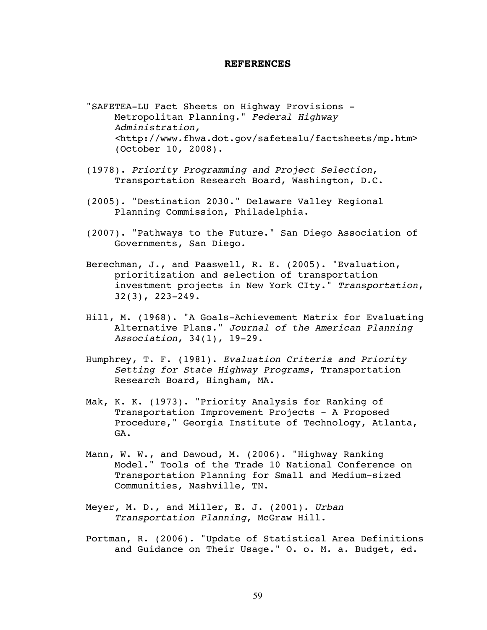#### **REFERENCES**

- "SAFETEA-LU Fact Sheets on Highway Provisions Metropolitan Planning." *Federal Highway Administration, <*http://www.fhwa.dot.gov/safetealu/factsheets/mp.htm> (October 10, 2008).
- (1978). *Priority Programming and Project Selection*, Transportation Research Board, Washington, D.C.
- (2005). "Destination 2030." Delaware Valley Regional Planning Commission, Philadelphia.
- (2007). "Pathways to the Future." San Diego Association of Governments, San Diego.
- Berechman, J., and Paaswell, R. E. (2005). "Evaluation, prioritization and selection of transportation investment projects in New York CIty." *Transportation*, 32(3), 223-249.
- Hill, M. (1968). "A Goals-Achievement Matrix for Evaluating Alternative Plans." *Journal of the American Planning Association*, 34(1), 19-29.
- Humphrey, T. F. (1981). *Evaluation Criteria and Priority Setting for State Highway Programs*, Transportation Research Board, Hingham, MA.
- Mak, K. K. (1973). "Priority Analysis for Ranking of Transportation Improvement Projects - A Proposed Procedure," Georgia Institute of Technology, Atlanta, GA.
- Mann, W. W., and Dawoud, M. (2006). "Highway Ranking Model." Tools of the Trade 10 National Conference on Transportation Planning for Small and Medium-sized Communities, Nashville, TN.
- Meyer, M. D., and Miller, E. J. (2001). *Urban Transportation Planning*, McGraw Hill.
- Portman, R. (2006). "Update of Statistical Area Definitions and Guidance on Their Usage." O. o. M. a. Budget, ed.